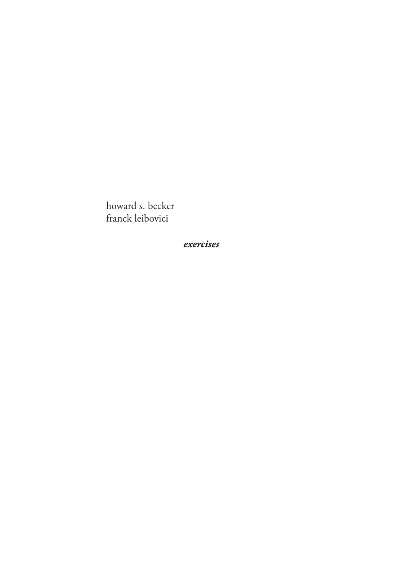howard s. becker franck leibovici

*exercises*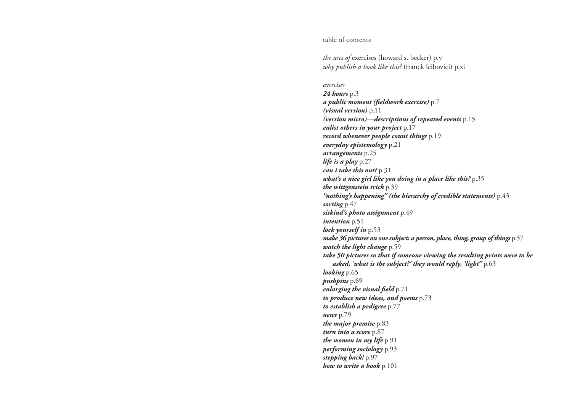table of contents

*the uses of* exercises (howard s. becker) p.v *why publish a book like this?* (franck leibovici) p.xi

*exercises*

*24 hours* p.3 *a public moment (fieldwork exercise)* p.7 *(visual version)* p.11 *(version micro)—descriptions of repeated events* p.15 *enlist others in your project* p.17 *record whenever people count things* p.19 *everyday epistemology* p.21 *arrangements* p.25 *life is a play* p.27 *can i take this out?* p.31 *what's a nice girl like you doing in a place like this?* p.35 *the wittgenstein trick* p.39 *"nothing's happening" (the hierarchy of credible statements)* p.43 *sorting* p.47 *siskind's photo assignment* p.49 *intention* p.51 *lock yourself in* p.53 *make 36 pictures on one subject: a person, place, thing, group of things* p.57 *watch the light change* p.59 *take 50 pictures so that if someone viewing the resulting prints were to be asked, 'what is the subject?' they would reply, 'light"* p.63 *looking* p.65 *pushpins* p.69 *enlarging the visual field* p.71 *to produce new ideas, and poems* p.73 *to establish a pedigree* p.77 *news* p.79 *the major premise* p.83 *turn into a score* p.87 *the women in my life* p.91 *performing sociology* p.93 *stepping back!* p.97 *how to write a book* p.101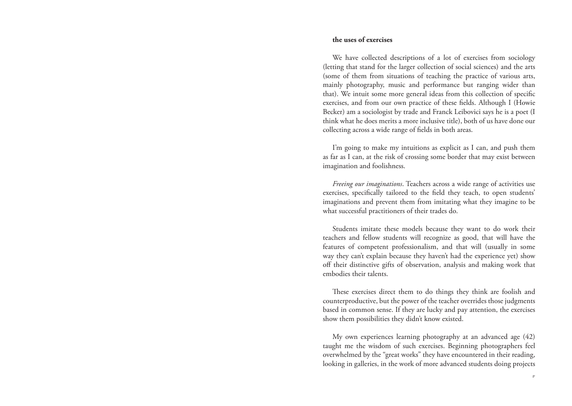## **the uses of exercises**

We have collected descriptions of a lot of exercises from sociology (letting that stand for the larger collection of social sciences) and the arts (some of them from situations of teaching the practice of various arts, mainly photography, music and performance but ranging wider than that). We intuit some more general ideas from this collection of specific exercises, and from our own practice of these fields. Although I (Howie Becker) am a sociologist by trade and Franck Leibovici says he is a poet (I think what he does merits a more inclusive title), both of us have done our collecting across a wide range of fields in both areas.

I'm going to make my intuitions as explicit as I can, and push them as far as I can, at the risk of crossing some border that may exist between imagination and foolishness.

*Freeing our imaginations*. Teachers across a wide range of activities use exercises, specifically tailored to the field they teach, to open students' imaginations and prevent them from imitating what they imagine to be what successful practitioners of their trades do.

Students imitate these models because they want to do work their teachers and fellow students will recognize as good, that will have the features of competent professionalism, and that will (usually in some way they can't explain because they haven't had the experience yet) show off their distinctive gifts of observation, analysis and making work that embodies their talents.

These exercises direct them to do things they think are foolish and counterproductive, but the power of the teacher overrides those judgments based in common sense. If they are lucky and pay attention, the exercises show them possibilities they didn't know existed.

My own experiences learning photography at an advanced age (42) taught me the wisdom of such exercises. Beginning photographers feel overwhelmed by the "great works" they have encountered in their reading, looking in galleries, in the work of more advanced students doing projects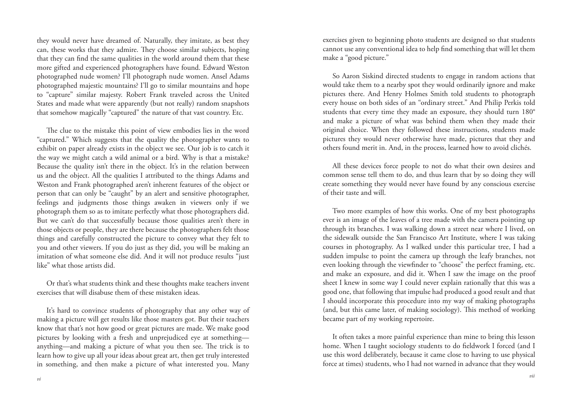they would never have dreamed of. Naturally, they imitate, as best they can, these works that they admire. They choose similar subjects, hoping that they can find the same qualities in the world around them that these more gifted and experienced photographers have found. Edward Weston photographed nude women? I'll photograph nude women. Ansel Adams photographed majestic mountains? I'll go to similar mountains and hope to "capture" similar majesty. Robert Frank traveled across the United States and made what were apparently (but not really) random snapshots that somehow magically "captured" the nature of that vast country. Etc.

The clue to the mistake this point of view embodies lies in the word "captured." Which suggests that the quality the photographer wants to exhibit on paper already exists in the object we see. Our job is to catch it the way we might catch a wild animal or a bird. Why is that a mistake? Because the quality isn't there in the object. It's in the relation between us and the object. All the qualities I attributed to the things Adams and Weston and Frank photographed aren't inherent features of the object or person that can only be "caught" by an alert and sensitive photographer, feelings and judgments those things awaken in viewers only if we photograph them so as to imitate perfectly what those photographers did. But we can't do that successfully because those qualities aren't there in those objects or people, they are there because the photographers felt those things and carefully constructed the picture to convey what they felt to you and other viewers. If you do just as they did, you will be making an imitation of what someone else did. And it will not produce results "just like" what those artists did.

Or that's what students think and these thoughts make teachers invent exercises that will disabuse them of these mistaken ideas.

It's hard to convince students of photography that any other way of making a picture will get results like those masters got. But their teachers know that that's not how good or great pictures are made. We make good pictures by looking with a fresh and unprejudiced eye at something anything—and making a picture of what you then see. The trick is to learn how to give up all your ideas about great art, then get truly interested in something, and then make a picture of what interested you. Many exercises given to beginning photo students are designed so that students cannot use any conventional idea to help find something that will let them make a "good picture."

So Aaron Siskind directed students to engage in random actions that would take them to a nearby spot they would ordinarily ignore and make pictures there. And Henry Holmes Smith told students to photograph every house on both sides of an "ordinary street." And Philip Perkis told students that every time they made an exposure, they should turn 180° and make a picture of what was behind them when they made their original choice. When they followed these instructions, students made pictures they would never otherwise have made, pictures that they and others found merit in. And, in the process, learned how to avoid clichés.

All these devices force people to not do what their own desires and common sense tell them to do, and thus learn that by so doing they will create something they would never have found by any conscious exercise of their taste and will.

Two more examples of how this works. One of my best photographs ever is an image of the leaves of a tree made with the camera pointing up through its branches. I was walking down a street near where I lived, on the sidewalk outside the San Francisco Art Institute, where I was taking courses in photography. As I walked under this particular tree, I had a sudden impulse to point the camera up through the leafy branches, not even looking through the viewfinder to "choose" the perfect framing, etc. and make an exposure, and did it. When I saw the image on the proof sheet I knew in some way I could never explain rationally that this was a good one, that following that impulse had produced a good result and that I should incorporate this procedure into my way of making photographs (and, but this came later, of making sociology). This method of working became part of my working repertoire.

It often takes a more painful experience than mine to bring this lesson home. When I taught sociology students to do fieldwork I forced (and I use this word deliberately, because it came close to having to use physical force at times) students, who I had not warned in advance that they would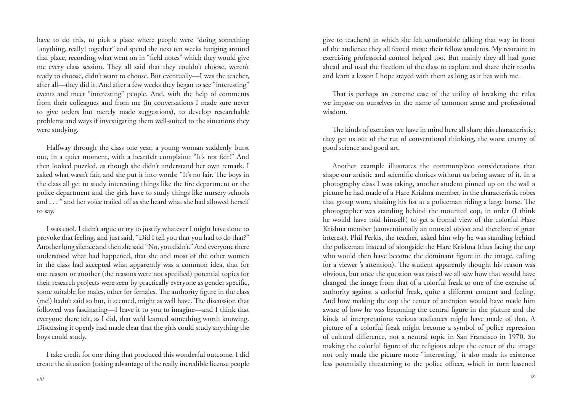have to do this, to pick a place where people were "doing something [anything, really] together" and spend the next ten weeks hanging around that place, recording what went on in "field notes" which they would give me every class session. They all said that they couldn't choose, weren't ready to choose, didn't want to choose. But eventually—I was the teacher, after all—they did it. And after a few weeks they began to see "interesting" events and meet "interesting" people. And, with the help of comments from their colleagues and from me (in conversations I made sure never to give orders but merely made suggestions), to develop researchable problems and ways if investigating them well-suited to the situations they were studying.

Halfway through the class one year, a young woman suddenly burst out, in a quiet moment, with a heartfelt complaint: "It's not fair!" And then looked puzzled, as though she didn't understand her own remark. I asked what wasn't fair, and she put it into words: "It's no fair. The boys in the class all get to study interesting things like the fire department or the police department and the girls have to study things like nursery schools and . . . " and her voice trailed off as she heard what she had allowed herself to say.

I was cool. I didn't argue or try to justify whatever I might have done to provoke that feeling, and just said, "Did I tell you that you had to do that?" Another long silence and then she said "No, you didn't." And everyone there understood what had happened, that she and most of the other women in the class had accepted what apparently was a common idea, that for one reason or another (the reasons were not specified) potential topics for their research projects were seen by practically everyone as gender specific, some suitable for males, other for females. The authority figure in the class (me!) hadn't said so but, it seemed, might as well have. The discussion that followed was fascinating—I leave it to you to imagine—and I think that everyone there felt, as I did, that we'd learned something worth knowing. Discussing it openly had made clear that the girls could study anything the boys could study.

I take credit for one thing that produced this wonderful outcome. I did create the situation (taking advantage of the really incredible license people give to teachers) in which she felt comfortable talking that way in front of the audience they all feared most: their fellow students. My restraint in exercising professorial control helped too. But mainly they all had gone ahead and used the freedom of the class to explore and share their results and learn a lesson I hope stayed with them as long as it has with me.

That is perhaps an extreme case of the utility of breaking the rules we impose on ourselves in the name of common sense and professional wisdom.

The kinds of exercises we have in mind here all share this characteristic: they get us out of the rut of conventional thinking, the worst enemy of good science and good art.

Another example illustrates the commonplace considerations that shape our artistic and scientific choices without us being aware of it. In a photography class I was taking, another student pinned up on the wall a picture he had made of a Hare Krishna member, in the characteristic robes that group wore, shaking his fist at a policeman riding a large horse. The photographer was standing behind the mounted cop, in order (I think he would have told himself) to get a frontal view of the colorful Hare Krishna member (conventionally an unusual object and therefore of great interest). Phil Perkis, the teacher, asked him why he was standing behind the policeman instead of alongside the Hare Krishna (thus facing the cop who would then have become the dominant figure in the image, calling for a viewer 's attention). The student apparently thought his reason was obvious, but once the question was raised we all saw how that would have changed the image from that of a colorful freak to one of the exercise of authority against a colorful freak, quite a different content and feeling. And how making the cop the center of attention would have made him aware of how he was becoming the central figure in the picture and the kinds of interpretations various audiences might have made of that. A picture of a colorful freak might become a symbol of police repression of cultural difference, not a neutral topic in San Francisco in 1970. So making the colorful figure of the religious adept the center of the image not only made the picture more "interesting," it also made its existence less potentially threatening to the police officer, which in turn lessened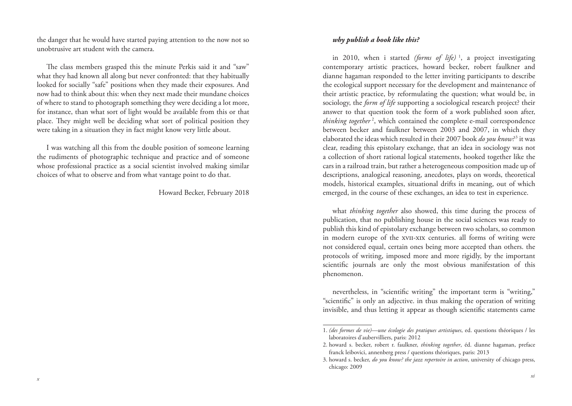the danger that he would have started paying attention to the now not so unobtrusive art student with the camera.

The class members grasped this the minute Perkis said it and "saw" what they had known all along but never confronted: that they habitually looked for socially "safe" positions when they made their exposures. And now had to think about this: when they next made their mundane choices of where to stand to photograph something they were deciding a lot more, for instance, than what sort of light would be available from this or that place. They might well be deciding what sort of political position they were taking in a situation they in fact might know very little about.

I was watching all this from the double position of someone learning the rudiments of photographic technique and practice and of someone whose professional practice as a social scientist involved making similar choices of what to observe and from what vantage point to do that.

Howard Becker, February 2018

# *why publish a book like this?*

in 2010, when i started *(forms of life)* 1, a project investigating contemporary artistic practices, howard becker, robert faulkner and dianne hagaman responded to the letter inviting participants to describe the ecological support necessary for the development and maintenance of their artistic practice, by reformulating the question; what would be, in sociology, the *form of life* supporting a sociological research project? their answer to that question took the form of a work published soon after, *thinking together<sup>2</sup>*, which contained the complete e-mail correspondence between becker and faulkner between 2003 and 2007, in which they elaborated the ideas which resulted in their 2007 book *do you know*.<sup>23</sup> it was clear, reading this epistolary exchange, that an idea in sociology was not a collection of short rational logical statements, hooked together like the cars in a railroad train, but rather a heterogeneous composition made up of descriptions, analogical reasoning, anecdotes, plays on words, theoretical models, historical examples, situational drifts in meaning, out of which emerged, in the course of these exchanges, an idea to test in experience.

what *thinking together* also showed, this time during the process of publication, that no publishing house in the social sciences was ready to publish this kind of epistolary exchange between two scholars, so common in modern europe of the xvII-XIX centuries. all forms of writing were not considered equal, certain ones being more accepted than others. the protocols of writing, imposed more and more rigidly, by the important scientific journals are only the most obvious manifestation of this phenomenon.

nevertheless, in "scientific writing" the important term is "writing," "scientific" is only an adjective. in thus making the operation of writing invisible, and thus letting it appear as though scientific statements came

<sup>1.</sup> *(des formes de vie)—une écologie des pratiques artistiques*, ed. questions théoriques / les laboratoires d'aubervilliers, paris: 2012

<sup>2.</sup> howard s. becker, robert r. faulkner, *thinking together*, éd. dianne hagaman, preface franck leibovici, annenberg press / questions théoriques, paris: 2013

<sup>3.</sup> howard s. becker, *do you know? the jazz repertoire in action*, university of chicago press, chicago: 2009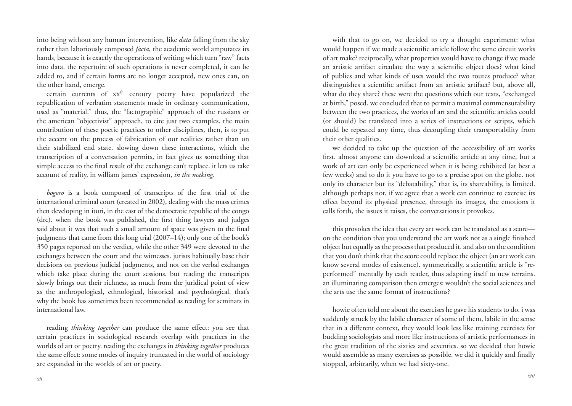into being without any human intervention, like *data* falling from the sky rather than laboriously composed *facta*, the academic world amputates its hands, because it is exactly the operations of writing which turn "raw" facts into data. the repertoire of such operations is never completed, it can be added to, and if certain forms are no longer accepted, new ones can, on the other hand, emerge.

certain currents of  $xx<sup>th</sup>$  century poetry have popularized the republication of verbatim statements made in ordinary communication, used as "material." thus, the "factographic" approach of the russians or the american "objectivist" approach, to cite just two examples. the main contribution of these poetic practices to other disciplines, then, is to put the accent on the process of fabrication of our realities rather than on their stabilized end state. slowing down these interactions, which the transcription of a conversation permits, in fact gives us something that simple access to the final result of the exchange can't replace. it lets us take account of reality, in william james' expression, *in the making*.

*bogoro* is a book composed of transcripts of the first trial of the international criminal court (created in 2002), dealing with the mass crimes then developing in ituri, in the east of the democratic republic of the congo (drc). when the book was published, the first thing lawyers and judges said about it was that such a small amount of space was given to the final judgments that came from this long trial (2007–14); only one of the book's 350 pages reported on the verdict, while the other 349 were devoted to the exchanges between the court and the witnesses. jurists habitually base their decisions on previous judicial judgments, and not on the verbal exchanges which take place during the court sessions. but reading the transcripts slowly brings out their richness, as much from the juridical point of view as the anthropological, ethnological, historical and psychological. that's why the book has sometimes been recommended as reading for seminars in international law.

reading *thinking together* can produce the same effect: you see that certain practices in sociological research overlap with practices in the worlds of art or poetry. reading the exchanges in *thinking together* produces the same effect: some modes of inquiry truncated in the world of sociology are expanded in the worlds of art or poetry.

with that to go on, we decided to try a thought experiment: what would happen if we made a scientific article follow the same circuit works of art make? reciprocally, what properties would have to change if we made an artistic artifact circulate the way a scientific object does? what kind of publics and what kinds of uses would the two routes produce? what distinguishes a scientific artifact from an artistic artifact? but, above all, what do they share? these were the questions which our texts, "exchanged at birth," posed. we concluded that to permit a maximal commensurability between the two practices, the works of art and the scientific articles could (or should) be translated into a series of instructions or scripts, which could be repeated any time, thus decoupling their transportability from their other qualities.

we decided to take up the question of the accessibility of art works first. almost anyone can download a scientific article at any time, but a work of art can only be experienced when it is being exhibited (at best a few weeks) and to do it you have to go to a precise spot on the globe. not only its character but its "debatability," that is, its shareability, is limited. although perhaps not, if we agree that a work can continue to exercise its effect beyond its physical presence, through its images, the emotions it calls forth, the issues it raises, the conversations it provokes.

this provokes the idea that every art work can be translated as a score on the condition that you understand the art work not as a single finished object but equally as the process that produced it. and also on the condition that you don't think that the score could replace the object (an art work can know several modes of existence). symmetrically, a scientific article is "reperformed" mentally by each reader, thus adapting itself to new terrains. an illuminating comparison then emerges: wouldn't the social sciences and the arts use the same format of instructions?

howie often told me about the exercises he gave his students to do. i was suddenly struck by the labile character of some of them, labile in the sense that in a different context, they would look less like training exercises for budding sociologists and more like instructions of artistic performances in the great tradition of the sixties and seventies. so we decided that howie would assemble as many exercises as possible. we did it quickly and finally stopped, arbitrarily, when we had sixty-one.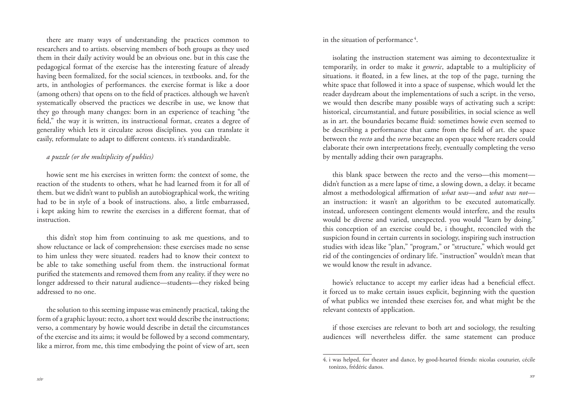there are many ways of understanding the practices common to researchers and to artists. observing members of both groups as they used them in their daily activity would be an obvious one. but in this case the pedagogical format of the exercise has the interesting feature of already having been formalized, for the social sciences, in textbooks. and, for the arts, in anthologies of performances. the exercise format is like a door (among others) that opens on to the field of practices. although we haven't systematically observed the practices we describe in use, we know that they go through many changes: born in an experience of teaching "the field," the way it is written, its instructional format, creates a degree of generality which lets it circulate across disciplines. you can translate it easily, reformulate to adapt to different contexts. it's standardizable.

# *a puzzle (or the multiplicity of publics)*

howie sent me his exercises in written form: the context of some, the reaction of the students to others, what he had learned from it for all of them. but we didn't want to publish an autobiographical work, the writing had to be in style of a book of instructions. also, a little embarrassed, i kept asking him to rewrite the exercises in a different format, that of instruction.

this didn't stop him from continuing to ask me questions, and to show reluctance or lack of comprehension: these exercises made no sense to him unless they were situated. readers had to know their context to be able to take something useful from them. the instructional format purified the statements and removed them from any reality. if they were no longer addressed to their natural audience—students—they risked being addressed to no one.

the solution to this seeming impasse was eminently practical, taking the form of a graphic layout: recto, a short text would describe the instructions; verso, a commentary by howie would describe in detail the circumstances of the exercise and its aims; it would be followed by a second commentary, like a mirror, from me, this time embodying the point of view of art, seen in the situation of performance<sup>4</sup>.

isolating the instruction statement was aiming to decontextualize it temporarily, in order to make it *generic*, adaptable to a multiplicity of situations. it floated, in a few lines, at the top of the page, turning the white space that followed it into a space of suspense, which would let the reader daydream about the implementations of such a script. in the verso, we would then describe many possible ways of activating such a script: historical, circumstantial, and future possibilities, in social science as well as in art. the boundaries became fluid: sometimes howie even seemed to be describing a performance that came from the field of art. the space between the *recto* and the *verso* became an open space where readers could elaborate their own interpretations freely, eventually completing the verso by mentally adding their own paragraphs.

this blank space between the recto and the verso—this moment didn't function as a mere lapse of time, a slowing down, a delay. it became almost a methodological affirmation of *what was*—and *what was not* an instruction: it wasn't an algorithm to be executed automatically. instead, unforeseen contingent elements would interfere, and the results would be diverse and varied, unexpected. you would "learn by doing." this conception of an exercise could be, i thought, reconciled with the suspicion found in certain currents in sociology, inspiring such instruction studies with ideas like "plan," "program," or "structure," which would get rid of the contingencies of ordinary life. "instruction" wouldn't mean that we would know the result in advance.

howie's reluctance to accept my earlier ideas had a beneficial effect. it forced us to make certain issues explicit, beginning with the question of what publics we intended these exercises for, and what might be the relevant contexts of application.

if those exercises are relevant to both art and sociology, the resulting audiences will nevertheless differ. the same statement can produce

<sup>4.</sup> i was helped, for theater and dance, by good-hearted friends: nicolas couturier, cécile tonizzo, frédéric danos.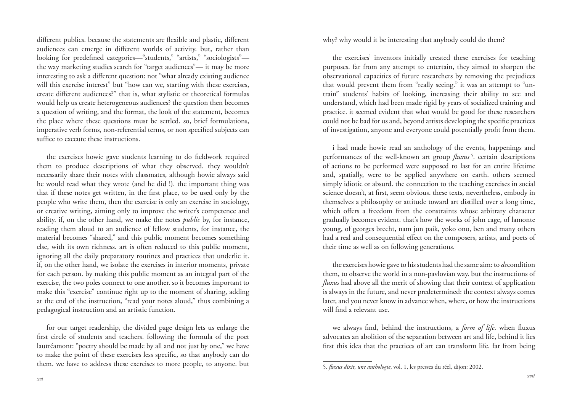different publics. because the statements are flexible and plastic, different audiences can emerge in different worlds of activity. but, rather than looking for predefined categories—"students," "artists," "sociologists" the way marketing studies search for "target audiences"— it may be more interesting to ask a different question: not "what already existing audience will this exercise interest" but "how can we, starting with these exercises, create different audiences?" that is, what stylistic or theoretical formulas would help us create heterogeneous audiences? the question then becomes a question of writing, and the format, the look of the statement, becomes the place where these questions must be settled. so, brief formulations, imperative verb forms, non-referential terms, or non specified subjects can suffice to execute these instructions.

the exercises howie gave students learning to do fieldwork required them to produce descriptions of what they observed. they wouldn't necessarily share their notes with classmates, although howie always said he would read what they wrote (and he did !). the important thing was that if these notes get written, in the first place, to be used only by the people who write them, then the exercise is only an exercise in sociology, or creative writing, aiming only to improve the writer's competence and ability. if, on the other hand, we make the notes *public* by, for instance, reading them aloud to an audience of fellow students, for instance, the material becomes "shared," and this public moment becomes something else, with its own richness. art is often reduced to this public moment, ignoring all the daily preparatory routines and practices that underlie it. if, on the other hand, we isolate the exercises in interior moments, private for each person. by making this public moment as an integral part of the exercise, the two poles connect to one another. so it becomes important to make this "exercise" continue right up to the moment of sharing, adding at the end of the instruction, "read your notes aloud," thus combining a pedagogical instruction and an artistic function.

for our target readership, the divided page design lets us enlarge the first circle of students and teachers. following the formula of the poet lautréamont: "poetry should be made by all and not just by one," we have to make the point of these exercises less specific, so that anybody can do them. we have to address these exercises to more people, to anyone. but why? why would it be interesting that anybody could do them?

the exercises' inventors initially created these exercises for teaching purposes. far from any attempt to entertain, they aimed to sharpen the observational capacities of future researchers by removing the prejudices that would prevent them from "really seeing." it was an attempt to "untrain" students' habits of looking, increasing their ability to see and understand, which had been made rigid by years of socialized training and practice. it seemed evident that what would be good for these researchers could not be bad for us and, beyond artists developing the specific practices of investigation, anyone and everyone could potentially profit from them.

i had made howie read an anthology of the events, happenings and performances of the well-known art group *fluxus*<sup>5</sup>. certain descriptions of actions to be performed were supposed to last for an entire lifetime and, spatially, were to be applied anywhere on earth. others seemed simply idiotic or absurd. the connection to the teaching exercises in social science doesn't, at first, seem obvious. these texts, nevertheless, embody in themselves a philosophy or attitude toward art distilled over a long time, which offers a freedom from the constraints whose arbitrary character gradually becomes evident. that's how the works of john cage, of lamonte young, of georges brecht, nam jun paik, yoko ono, ben and many others had a real and consequential effect on the composers, artists, and poets of their time as well as on following generations.

the exercises howie gave to his students had the same aim: to *de*condition them, to observe the world in a non-pavlovian way. but the instructions of *fluxus* had above all the merit of showing that their context of application is always in the future, and never predetermined: the context always comes later, and you never know in advance when, where, or how the instructions will find a relevant use.

we always find, behind the instructions, a *form of life*. when fluxus advocates an abolition of the separation between art and life, behind it lies first this idea that the practices of art can transform life. far from being

<sup>5.</sup> *fluxus dixit, une anthologie*, vol. 1, les presses du réel, dijon: 2002.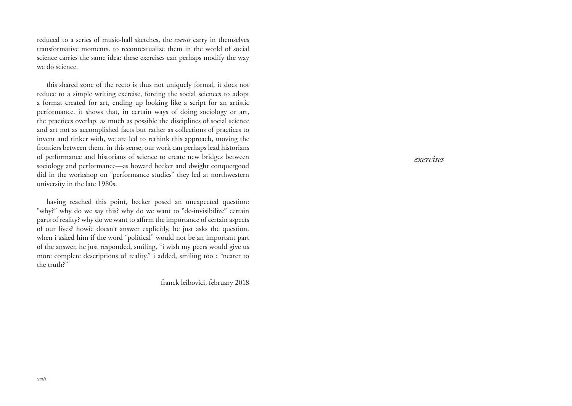reduced to a series of music-hall sketches, the *events* carry in themselves transformative moments. to recontextualize them in the world of social science carries the same idea: these exercises can perhaps modify the way we do science.

this shared zone of the recto is thus not uniquely formal, it does not reduce to a simple writing exercise, forcing the social sciences to adopt a format created for art, ending up looking like a script for an artistic performance. it shows that, in certain ways of doing sociology or art, the practices overlap. as much as possible the disciplines of social science and art not as accomplished facts but rather as collections of practices to invent and tinker with, we are led to rethink this approach, moving the frontiers between them. in this sense, our work can perhaps lead historians of performance and historians of science to create new bridges between sociology and performance—as howard becker and dwight conquergood did in the workshop on "performance studies" they led at northwestern university in the late 1980s.

having reached this point, becker posed an unexpected question: "why?" why do we say this? why do we want to "de-invisibilize" certain parts of reality? why do we want to affirm the importance of certain aspects of our lives? howie doesn't answer explicitly, he just asks the question. when i asked him if the word "political" would not be an important part of the answer, he just responded, smiling, "i wish my peers would give us more complete descriptions of reality." i added, smiling too : "nearer to the truth?"

franck leibovici, february 2018

*exercises*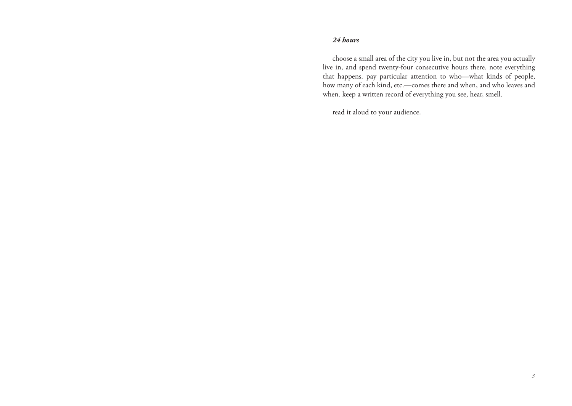# *24 hours*

choose a small area of the city you live in, but not the area you actually live in, and spend twenty-four consecutive hours there. note everything that happens. pay particular attention to who—what kinds of people, how many of each kind, etc.—comes there and when, and who leaves and when. keep a written record of everything you see, hear, smell.

read it aloud to your audience.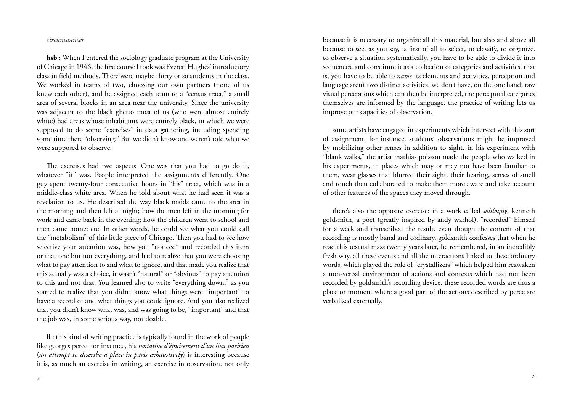**hsb** : When I entered the sociology graduate program at the University of Chicago in 1946, the first course I took was Everett Hughes' introductory class in field methods. There were maybe thirty or so students in the class. We worked in teams of two, choosing our own partners (none of us knew each other), and he assigned each team to a "census tract," a small area of several blocks in an area near the university. Since the university was adjacent to the black ghetto most of us (who were almost entirely white) had areas whose inhabitants were entirely black, in which we were supposed to do some "exercises" in data gathering, including spending some time there "observing." But we didn't know and weren't told what we were supposed to observe.

The exercises had two aspects. One was that you had to go do it, whatever "it" was. People interpreted the assignments differently. One guy spent twenty-four consecutive hours in "his" tract, which was in a middle-class white area. When he told about what he had seen it was a revelation to us. He described the way black maids came to the area in the morning and then left at night; how the men left in the morning for work and came back in the evening; how the children went to school and then came home; etc. In other words, he could see what you could call the "metabolism" of this little piece of Chicago. Then you had to see how selective your attention was, how you "noticed" and recorded this item or that one but not everything, and had to realize that you were choosing what to pay attention to and what to ignore, and that made you realize that this actually was a choice, it wasn't "natural" or "obvious" to pay attention to this and not that. You learned also to write "everything down," as you started to realize that you didn't know what things were "important" to have a record of and what things you could ignore. And you also realized that you didn't know what was, and was going to be, "important" and that the job was, in some serious way, not doable.

**fl** : this kind of writing practice is typically found in the work of people like georges perec. for instance, his *tentative d'épuisement d'un lieu parisien* (*an attempt to describe a place in paris exhaustively*) is interesting because it is, as much an exercise in writing, an exercise in observation. not only because it is necessary to organize all this material, but also and above all because to see, as you say, is first of all to select, to classify, to organize. to observe a situation systematically, you have to be able to divide it into sequences, and constitute it as a collection of categories and activities. that is, you have to be able to *name* its elements and activities. perception and language aren't two distinct activities. we don't have, on the one hand, raw visual perceptions which can then be interpreted, the perceptual categories themselves are informed by the language. the practice of writing lets us improve our capacities of observation.

some artists have engaged in experiments which intersect with this sort of assignment. for instance, students' observations might be improved by mobilizing other senses in addition to sight. in his experiment with "blank walks," the artist mathias poisson made the people who walked in his experiments, in places which may or may not have been familiar to them, wear glasses that blurred their sight. their hearing, senses of smell and touch then collaborated to make them more aware and take account of other features of the spaces they moved through.

there's also the opposite exercise: in a work called *soliloquy*, kenneth goldsmith, a poet (greatly inspired by andy warhol), "recorded" himself for a week and transcribed the result. even though the content of that recording is mostly banal and ordinary, goldsmith confesses that when he read this textual mass twenty years later, he remembered, in an incredibly fresh way, all these events and all the interactions linked to these ordinary words, which played the role of "crystallizers" which helped him reawaken a non-verbal environment of actions and contexts which had not been recorded by goldsmith's recording device. these recorded words are thus a place or moment where a good part of the actions described by perec are verbalized externally.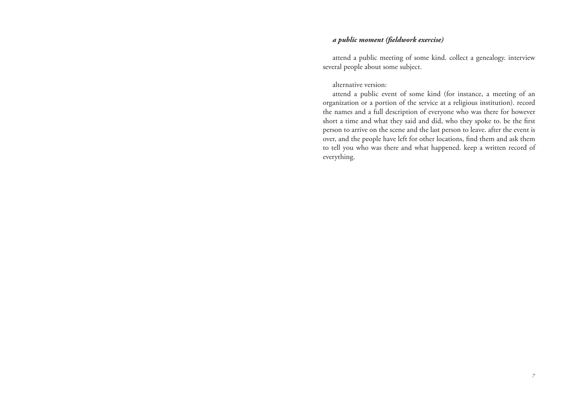# *a public moment (fieldwork exercise)*

attend a public meeting of some kind. collect a genealogy. interview several people about some subject.

## alternative version:

attend a public event of some kind (for instance, a meeting of an organization or a portion of the service at a religious institution). record the names and a full description of everyone who was there for however short a time and what they said and did, who they spoke to. be the first person to arrive on the scene and the last person to leave. after the event is over, and the people have left for other locations, find them and ask them to tell you who was there and what happened. keep a written record of everything.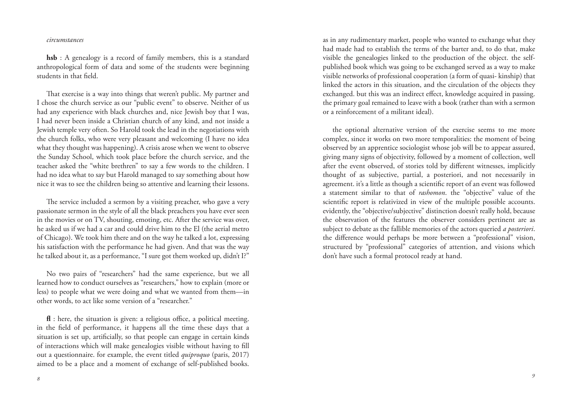hsb : A genealogy is a record of family members, this is a standard anthropological form of data and some of the students were beginning students in that field.

That exercise is a way into things that weren't public. My partner and I chose the church service as our "public event" to observe. Neither of us had any experience with black churches and, nice Jewish boy that I was, I had never been inside a Christian church of any kind, and not inside a Jewish temple very often. So Harold took the lead in the negotiations with the church folks, who were very pleasant and welcoming (I have no idea what they thought was happening). A crisis arose when we went to observe the Sunday School, which took place before the church service, and the teacher asked the "white brethren" to say a few words to the children. I had no idea what to say but Harold managed to say something about how nice it was to see the children being so attentive and learning their lessons.

The service included a sermon by a visiting preacher, who gave a very passionate sermon in the style of all the black preachers you have ever seen in the movies or on TV, shouting, emoting, etc. After the service was over, he asked us if we had a car and could drive him to the El (the aerial metro of Chicago). We took him there and on the way he talked a lot, expressing his satisfaction with the performance he had given. And that was the way he talked about it, as a performance, "I sure got them worked up, didn't I?"

No two pairs of "researchers" had the same experience, but we all learned how to conduct ourselves as "researchers," how to explain (more or less) to people what we were doing and what we wanted from them—in other words, to act like some version of a "researcher."

**fl** : here, the situation is given: a religious office, a political meeting. in the field of performance, it happens all the time these days that a situation is set up, artificially, so that people can engage in certain kinds of interactions which will make genealogies visible without having to fill out a questionnaire. for example, the event titled *quiproquo* (paris, 2017) aimed to be a place and a moment of exchange of self-published books.

as in any rudimentary market, people who wanted to exchange what they had made had to establish the terms of the barter and, to do that, make visible the genealogies linked to the production of the object. the selfpublished book which was going to be exchanged served as a way to make visible networks of professional cooperation (a form of quasi- kinship) that linked the actors in this situation, and the circulation of the objects they exchanged. but this was an indirect effect, knowledge acquired in passing. the primary goal remained to leave with a book (rather than with a sermon or a reinforcement of a militant ideal).

the optional alternative version of the exercise seems to me more complex, since it works on two more temporalities: the moment of being observed by an apprentice sociologist whose job will be to appear assured, giving many signs of objectivity, followed by a moment of collection, well after the event observed, of stories told by different witnesses, implicitly thought of as subjective, partial, a posteriori, and not necessarily in agreement. it's a little as though a scientific report of an event was followed a statement similar to that of *rashomon*. the "objective" value of the scientific report is relativized in view of the multiple possible accounts. evidently, the "objective/subjective" distinction doesn't really hold, because the observation of the features the observer considers pertinent are as subject to debate as the fallible memories of the actors queried *a posteriori*. the difference would perhaps be more between a "professional" vision, structured by "professional" categories of attention, and visions which don't have such a formal protocol ready at hand.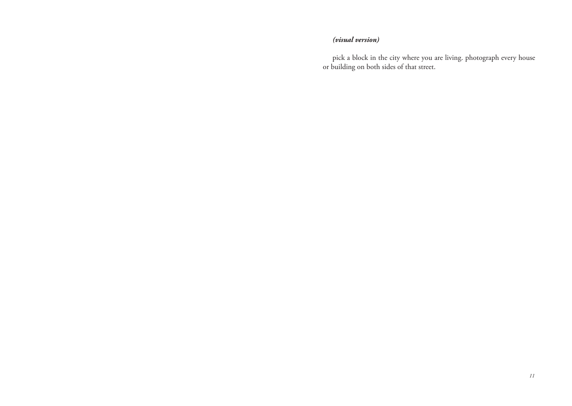# *(visual version)*

pick a block in the city where you are living. photograph every house or building on both sides of that street.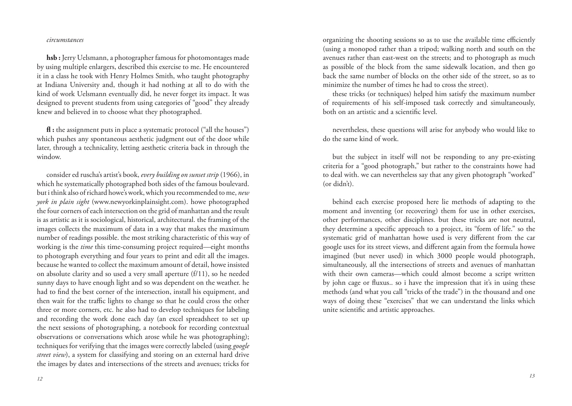**hsb :** Jerry Uelsmann, a photographer famous for photomontages made by using multiple enlargers, described this exercise to me. He encountered it in a class he took with Henry Holmes Smith, who taught photography at Indiana University and, though it had nothing at all to do with the kind of work Uelsmann eventually did, he never forget its impact. It was designed to prevent students from using categories of "good" they already knew and believed in to choose what they photographed.

**fl :** the assignment puts in place a systematic protocol ("all the houses") which pushes any spontaneous aesthetic judgment out of the door while later, through a technicality, letting aesthetic criteria back in through the window.

consider ed ruscha's artist's book, *every building on sunset strip* (1966), in which he systematically photographed both sides of the famous boulevard. but i think also of richard howe's work, which you recommended to me, *new york in plain sight* (www.newyorkinplainsight.com). howe photographed the four corners of each intersection on the grid of manhattan and the result is as artistic as it is sociological, historical, architectural. the framing of the images collects the maximum of data in a way that makes the maximum number of readings possible. the most striking characteristic of this way of working is the *time* this time-consuming project required—eight months to photograph everything and four years to print and edit all the images. because he wanted to collect the maximum amount of detail, howe insisted on absolute clarity and so used a very small aperture (f/11), so he needed sunny days to have enough light and so was dependent on the weather. he had to find the best corner of the intersection, install his equipment, and then wait for the traffic lights to change so that he could cross the other three or more corners, etc. he also had to develop techniques for labeling and recording the work done each day (an excel spreadsheet to set up the next sessions of photographing, a notebook for recording contextual observations or conversations which arose while he was photographing); techniques for verifying that the images were correctly labeled (using *google street view*), a system for classifying and storing on an external hard drive the images by dates and intersections of the streets and avenues; tricks for

*<sup>12</sup> <sup>13</sup>*

organizing the shooting sessions so as to use the available time efficiently (using a monopod rather than a tripod; walking north and south on the avenues rather than east-west on the streets; and to photograph as much as possible of the block from the same sidewalk location, and then go back the same number of blocks on the other side of the street, so as to minimize the number of times he had to cross the street).

these tricks (or techniques) helped him satisfy the maximum number of requirements of his self-imposed task correctly and simultaneously, both on an artistic and a scientific level.

nevertheless, these questions will arise for anybody who would like to do the same kind of work.

but the subject in itself will not be responding to any pre-existing criteria for a "good photograph," but rather to the constraints howe had to deal with. we can nevertheless say that any given photograph "worked" (or didn't).

behind each exercise proposed here lie methods of adapting to the moment and inventing (or recovering) them for use in other exercises, other performances, other disciplines. but these tricks are not neutral, they determine a specific approach to a project, its "form of life." so the systematic grid of manhattan howe used is very different from the car google uses for its street views, and different again from the formula howe imagined (but never used) in which 3000 people would photograph, simultaneously, all the intersections of streets and avenues of manhattan with their own cameras—which could almost become a script written by john cage or fluxus.. so i have the impression that it's in using these methods (and what you call "tricks of the trade") in the thousand and one ways of doing these "exercises" that we can understand the links which unite scientific and artistic approaches.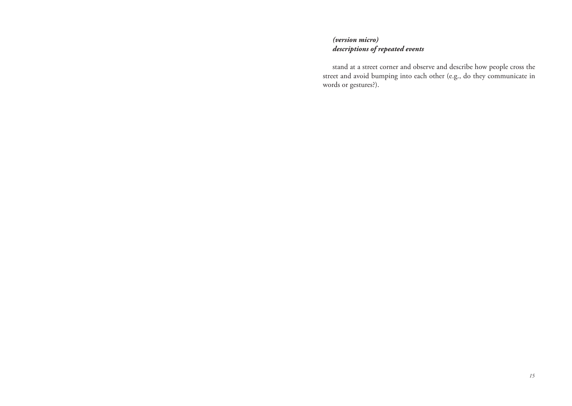# *(version micro) descriptions of repeated events*

stand at a street corner and observe and describe how people cross the street and avoid bumping into each other (e.g., do they communicate in words or gestures?).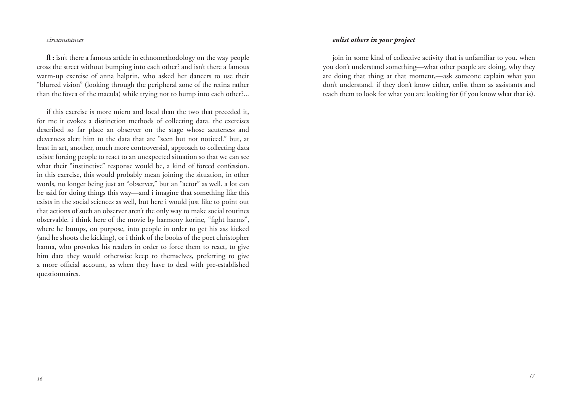**fl**: isn't there a famous article in ethnomethodology on the way people cross the street without bumping into each other? and isn't there a famous warm-up exercise of anna halprin, who asked her dancers to use their "blurred vision" (looking through the peripheral zone of the retina rather than the fovea of the macula) while trying not to bump into each other?...

if this exercise is more micro and local than the two that preceded it, for me it evokes a distinction methods of collecting data. the exercises described so far place an observer on the stage whose acuteness and cleverness alert him to the data that are "seen but not noticed." but, at least in art, another, much more controversial, approach to collecting data exists: forcing people to react to an unexpected situation so that we can see what their "instinctive" response would be, a kind of forced confession. in this exercise, this would probably mean joining the situation, in other words, no longer being just an "observer," but an "actor" as well. a lot can be said for doing things this way—and i imagine that something like this exists in the social sciences as well, but here i would just like to point out that actions of such an observer aren't the only way to make social routines observable. i think here of the movie by harmony korine, "fight harms", where he bumps, on purpose, into people in order to get his ass kicked (and he shoots the kicking), or i think of the books of the poet christopher hanna, who provokes his readers in order to force them to react, to give him data they would otherwise keep to themselves, preferring to give a more official account, as when they have to deal with pre-established questionnaires.

## *enlist others in your project*

join in some kind of collective activity that is unfamiliar to you. when you don't understand something—what other people are doing, why they are doing that thing at that moment,—ask someone explain what you don't understand. if they don't know either, enlist them as assistants and teach them to look for what you are looking for (if you know what that is).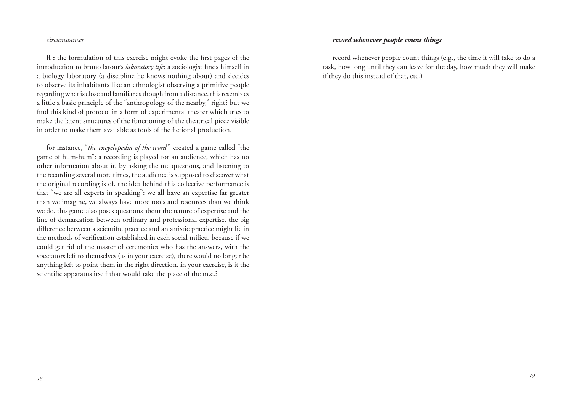**fl :** the formulation of this exercise might evoke the first pages of the introduction to bruno latour's *laboratory life*: a sociologist finds himself in a biology laboratory (a discipline he knows nothing about) and decides to observe its inhabitants like an ethnologist observing a primitive people regarding what is close and familiar as though from a distance. this resembles a little a basic principle of the "anthropology of the nearby," right? but we find this kind of protocol in a form of experimental theater which tries to make the latent structures of the functioning of the theatrical piece visible in order to make them available as tools of the fictional production.

for instance, "*the encyclopedia of the word*" created a game called "the game of hum-hum": a recording is played for an audience, which has no other information about it. by asking the mc questions, and listening to the recording several more times, the audience is supposed to discover what the original recording is of. the idea behind this collective performance is that "we are all experts in speaking": we all have an expertise far greater than we imagine, we always have more tools and resources than we think we do. this game also poses questions about the nature of expertise and the line of demarcation between ordinary and professional expertise. the big difference between a scientific practice and an artistic practice might lie in the methods of verification established in each social milieu. because if we could get rid of the master of ceremonies who has the answers, with the spectators left to themselves (as in your exercise), there would no longer be anything left to point them in the right direction. in your exercise, is it the scientific apparatus itself that would take the place of the m.c.?

## *record whenever people count things*

record whenever people count things (e.g., the time it will take to do a task, how long until they can leave for the day, how much they will make if they do this instead of that, etc.)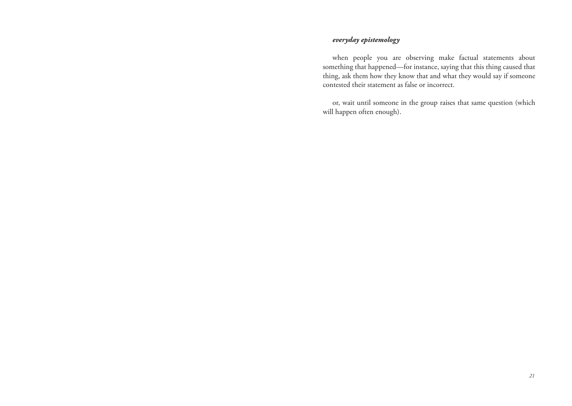# *everyday epistemology*

when people you are observing make factual statements about something that happened—for instance, saying that this thing caused that thing, ask them how they know that and what they would say if someone contested their statement as false or incorrect.

or, wait until someone in the group raises that same question (which will happen often enough).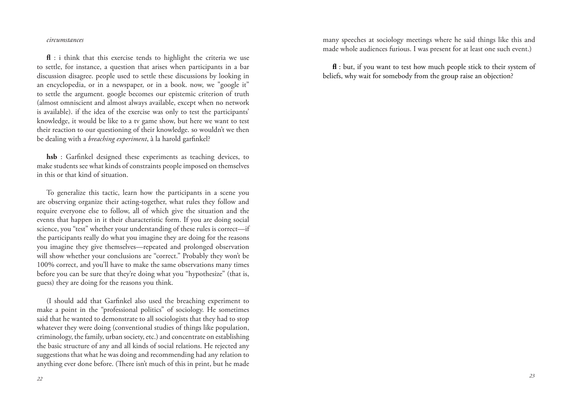**fl** : i think that this exercise tends to highlight the criteria we use to settle, for instance, a question that arises when participants in a bar discussion disagree. people used to settle these discussions by looking in an encyclopedia, or in a newspaper, or in a book. now, we "google it" to settle the argument. google becomes our epistemic criterion of truth (almost omniscient and almost always available, except when no network is available). if the idea of the exercise was only to test the participants' knowledge, it would be like to a tv game show, but here we want to test their reaction to our questioning of their knowledge. so wouldn't we then be dealing with a *breaching experiment*, à la harold garfinkel?

**hsb** : Garfinkel designed these experiments as teaching devices, to make students see what kinds of constraints people imposed on themselves in this or that kind of situation.

To generalize this tactic, learn how the participants in a scene you are observing organize their acting-together, what rules they follow and require everyone else to follow, all of which give the situation and the events that happen in it their characteristic form. If you are doing social science, you "test" whether your understanding of these rules is correct—if the participants really do what you imagine they are doing for the reasons you imagine they give themselves—repeated and prolonged observation will show whether your conclusions are "correct." Probably they won't be 100% correct, and you'll have to make the same observations many times before you can be sure that they're doing what you "hypothesize" (that is, guess) they are doing for the reasons you think.

(I should add that Garfinkel also used the breaching experiment to make a point in the "professional politics" of sociology. He sometimes said that he wanted to demonstrate to all sociologists that they had to stop whatever they were doing (conventional studies of things like population, criminology, the family, urban society, etc.) and concentrate on establishing the basic structure of any and all kinds of social relations. He rejected any suggestions that what he was doing and recommending had any relation to anything ever done before. (There isn't much of this in print, but he made many speeches at sociology meetings where he said things like this and made whole audiences furious. I was present for at least one such event.)

**fl** : but, if you want to test how much people stick to their system of beliefs, why wait for somebody from the group raise an objection?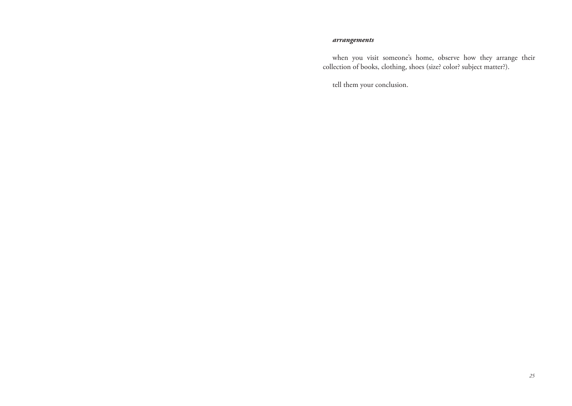# *arrangements*

when you visit someone's home, observe how they arrange their collection of books, clothing, shoes (size? color? subject matter?).

tell them your conclusion.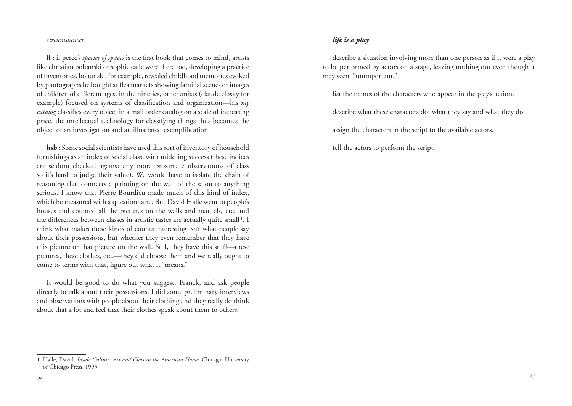**fl** : if perec's *species of spaces* is the first book that comes to mind, artists like christian boltanski or sophie calle were there too, developing a practice of inventories. boltanski, for example, revealed childhood memories evoked by photographs he bought at flea markets showing familial scenes or images of children of different ages. in the nineties, other artists (claude closky for example) focused on systems of classification and organization—his *my catalog* classifies every object in a mail order catalog on a scale of increasing price. the intellectual technology for classifying things thus becomes the object of an investigation and an illustrated exemplification.

**hsb** : Some social scientists have used this sort of inventory of household furnishings as an index of social class, with middling success (these indices are seldom checked against any more proximate observations of class so it's hard to judge their value). We would have to isolate the chain of reasoning that connects a painting on the wall of the salon to anything serious. I know that Pierre Bourdieu made much of this kind of index, which he measured with a questionnaire. But David Halle went to people's houses and counted all the pictures on the walls and mantels, etc. and the differences between classes in artistic tastes are actually quite small<sup>1</sup>. I think what makes these kinds of counts interesting isn't what people say about their possessions, but whether they even remember that they have this picture or that picture on the wall. Still, they have this stuff—these pictures, these clothes, etc.—they did choose them and we really ought to come to terms with that, figure out what it "means."

It would be good to do what you suggest, Franck, and ask people directly to talk about their possessions. I did some preliminary interviews and observations with people about their clothing and they really do think about that a lot and feel that their clothes speak about them to others.

# *life is a play*

describe a situation involving more than one person as if it were a play to be performed by actors on a stage, leaving nothing out even though it may seem "unimportant."

list the names of the characters who appear in the play's action.

describe what these characters do: what they say and what they do.

assign the characters in the script to the available actors.

tell the actors to perform the script.

<sup>1.</sup> Halle, David. *Inside Culture: Art and Class in the American Home*. Chicago: University of Chicago Press, 1993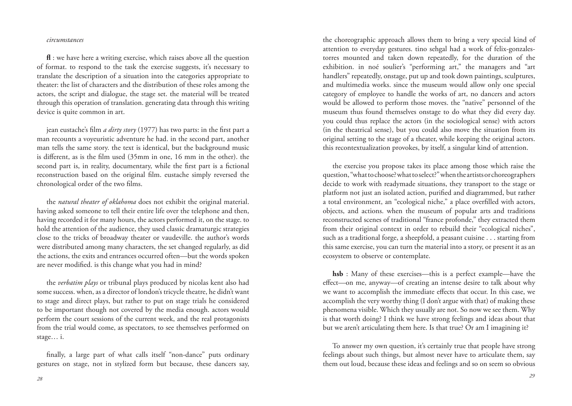**fl** : we have here a writing exercise, which raises above all the question of format. to respond to the task the exercise suggests, it's necessary to translate the description of a situation into the categories appropriate to theater: the list of characters and the distribution of these roles among the actors, the script and dialogue, the stage set. the material will be treated through this operation of translation. generating data through this writing device is quite common in art.

jean eustache's film *a dirty story* (1977) has two parts: in the first part a man recounts a voyeuristic adventure he had. in the second part, another man tells the same story. the text is identical, but the background music is different, as is the film used (35mm in one, 16 mm in the other). the second part is, in reality, documentary, while the first part is a fictional reconstruction based on the original film. eustache simply reversed the chronological order of the two films.

the *natural theater of oklahoma* does not exhibit the original material. having asked someone to tell their entire life over the telephone and then, having recorded it for many hours, the actors performed it, on the stage. to hold the attention of the audience, they used classic dramaturgic strategies close to the tricks of broadway theater or vaudeville. the author's words were distributed among many characters, the set changed regularly, as did the actions, the exits and entrances occurred often—but the words spoken are never modified. is this change what you had in mind?

the *verbatim plays* or tribunal plays produced by nicolas kent also had some success. when, as a director of london's tricycle theatre, he didn't want to stage and direct plays, but rather to put on stage trials he considered to be important though not covered by the media enough. actors would perform the court sessions of the current week, and the real protagonists from the trial would come, as spectators, to see themselves performed on stage… i.

finally, a large part of what calls itself "non-dance" puts ordinary gestures on stage, not in stylized form but because, these dancers say,

*<sup>28</sup> <sup>29</sup>*

the choreographic approach allows them to bring a very special kind of attention to everyday gestures. tino sehgal had a work of felix-gonzalestorres mounted and taken down repeatedly, for the duration of the exhibition. in noé soulier's "performing art," the managers and "art handlers" repeatedly, onstage, put up and took down paintings, sculptures, and multimedia works. since the museum would allow only one special category of employee to handle the works of art, no dancers and actors would be allowed to perform those moves. the "native" personnel of the museum thus found themselves onstage to do what they did every day. you could thus replace the actors (in the sociological sense) with actors (in the theatrical sense), but you could also move the situation from its original setting to the stage of a theater, while keeping the original actors. this recontextualization provokes, by itself, a singular kind of attention.

the exercise you propose takes its place among those which raise the question, "what to choose? what to select?" when the artists or choreographers decide to work with readymade situations, they transport to the stage or platform not just an isolated action, purified and diagrammed, but rather a total environment, an "ecological niche," a place overfilled with actors, objects, and actions. when the museum of popular arts and traditions reconstructed scenes of traditional "france profonde," they extracted them from their original context in order to rebuild their "ecological niches", such as a traditional forge, a sheepfold, a peasant cuisine . . . starting from this same exercise, you can turn the material into a story, or present it as an ecosystem to observe or contemplate.

**hsb** : Many of these exercises—this is a perfect example—have the effect—on me, anyway—of creating an intense desire to talk about why we want to accomplish the immediate effects that occur. In this case, we accomplish the very worthy thing (I don't argue with that) of making these phenomena visible. Which they usually are not. So now we see them. Why is that worth doing? I think we have strong feelings and ideas about that but we aren't articulating them here. Is that true? Or am I imagining it?

To answer my own question, it's certainly true that people have strong feelings about such things, but almost never have to articulate them, say them out loud, because these ideas and feelings and so on seem so obvious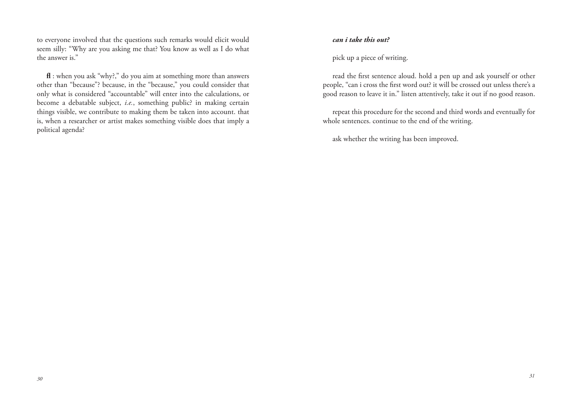to everyone involved that the questions such remarks would elicit would seem silly: "Why are you asking me that? You know as well as I do what the answer is."

**fl** : when you ask "why?," do you aim at something more than answers other than "because"? because, in the "because," you could consider that only what is considered "accountable" will enter into the calculations, or become a debatable subject, *i.e.*, something public? in making certain things visible, we contribute to making them be taken into account. that is, when a researcher or artist makes something visible does that imply a political agenda?

## *can i take this out?*

pick up a piece of writing.

read the first sentence aloud. hold a pen up and ask yourself or other people, "can i cross the first word out? it will be crossed out unless there's a good reason to leave it in." listen attentively, take it out if no good reason.

repeat this procedure for the second and third words and eventually for whole sentences. continue to the end of the writing.

ask whether the writing has been improved.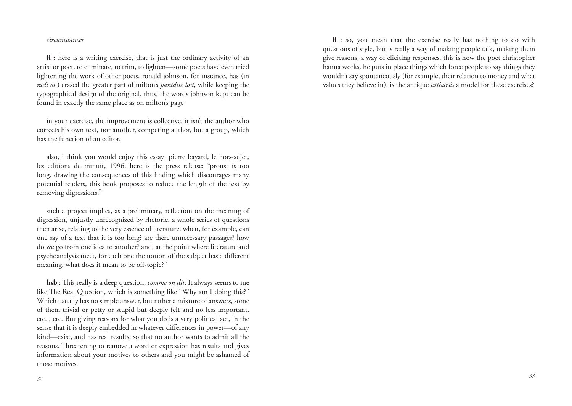**fl** : here is a writing exercise, that is just the ordinary activity of an artist or poet. to eliminate, to trim, to lighten—some poets have even tried lightening the work of other poets. ronald johnson, for instance, has (in *radi os* ) erased the greater part of milton's *paradise lost*, while keeping the typographical design of the original. thus, the words johnson kept can be found in exactly the same place as on milton's page

in your exercise, the improvement is collective. it isn't the author who corrects his own text, nor another, competing author, but a group, which has the function of an editor.

also, i think you would enjoy this essay: pierre bayard, le hors-sujet, les editions de minuit, 1996. here is the press release: "proust is too long. drawing the consequences of this finding which discourages many potential readers, this book proposes to reduce the length of the text by removing digressions."

such a project implies, as a preliminary, reflection on the meaning of digression, unjustly unrecognized by rhetoric. a whole series of questions then arise, relating to the very essence of literature. when, for example, can one say of a text that it is too long? are there unnecessary passages? how do we go from one idea to another? and, at the point where literature and psychoanalysis meet, for each one the notion of the subject has a different meaning. what does it mean to be off-topic?"

**hsb** : This really is a deep question, *comme on dit*. It always seems to me like The Real Question, which is something like "Why am I doing this?" Which usually has no simple answer, but rather a mixture of answers, some of them trivial or petty or stupid but deeply felt and no less important. etc. , etc. But giving reasons for what you do is a very political act, in the sense that it is deeply embedded in whatever differences in power—of any kind—exist, and has real results, so that no author wants to admit all the reasons. Threatening to remove a word or expression has results and gives information about your motives to others and you might be ashamed of those motives.

**fl** : so, you mean that the exercise really has nothing to do with questions of style, but is really a way of making people talk, making them give reasons, a way of eliciting responses. this is how the poet christopher hanna works. he puts in place things which force people to say things they wouldn't say spontaneously (for example, their relation to money and what values they believe in). is the antique *catharsis* a model for these exercises?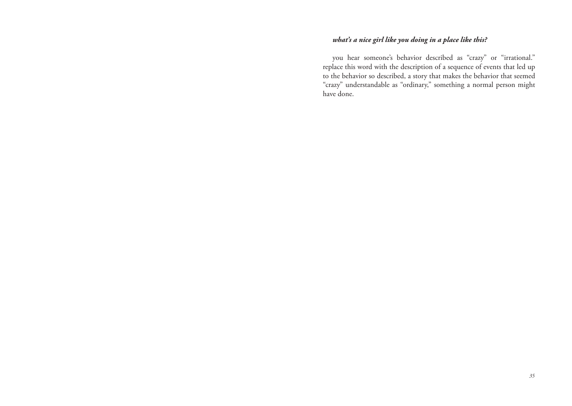# *what's a nice girl like you doing in a place like this?*

you hear someone's behavior described as "crazy" or "irrational." replace this word with the description of a sequence of events that led up to the behavior so described, a story that makes the behavior that seemed "crazy" understandable as "ordinary," something a normal person might have done.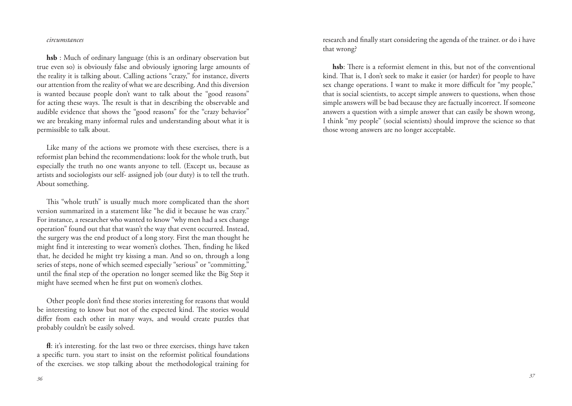**hsb** : Much of ordinary language (this is an ordinary observation but true even so) is obviously false and obviously ignoring large amounts of the reality it is talking about. Calling actions "crazy," for instance, diverts our attention from the reality of what we are describing. And this diversion is wanted because people don't want to talk about the "good reasons" for acting these ways. The result is that in describing the observable and audible evidence that shows the "good reasons" for the "crazy behavior" we are breaking many informal rules and understanding about what it is permissible to talk about.

Like many of the actions we promote with these exercises, there is a reformist plan behind the recommendations: look for the whole truth, but especially the truth no one wants anyone to tell. (Except us, because as artists and sociologists our self- assigned job (our duty) is to tell the truth. About something.

This "whole truth" is usually much more complicated than the short version summarized in a statement like "he did it because he was crazy." For instance, a researcher who wanted to know "why men had a sex change operation" found out that that wasn't the way that event occurred. Instead, the surgery was the end product of a long story. First the man thought he might find it interesting to wear women's clothes. Then, finding he liked that, he decided he might try kissing a man. And so on, through a long series of steps, none of which seemed especially "serious" or "committing," until the final step of the operation no longer seemed like the Big Step it might have seemed when he first put on women's clothes.

Other people don't find these stories interesting for reasons that would be interesting to know but not of the expected kind. The stories would differ from each other in many ways, and would create puzzles that probably couldn't be easily solved.

**fl**: it's interesting. for the last two or three exercises, things have taken a specific turn. you start to insist on the reformist political foundations of the exercises. we stop talking about the methodological training for research and finally start considering the agenda of the trainer. or do i have that wrong?

**hsb**: There is a reformist element in this, but not of the conventional kind. That is, I don't seek to make it easier (or harder) for people to have sex change operations. I want to make it more difficult for "my people," that is social scientists, to accept simple answers to questions, when those simple answers will be bad because they are factually incorrect. If someone answers a question with a simple answer that can easily be shown wrong, I think "my people" (social scientists) should improve the science so that those wrong answers are no longer acceptable.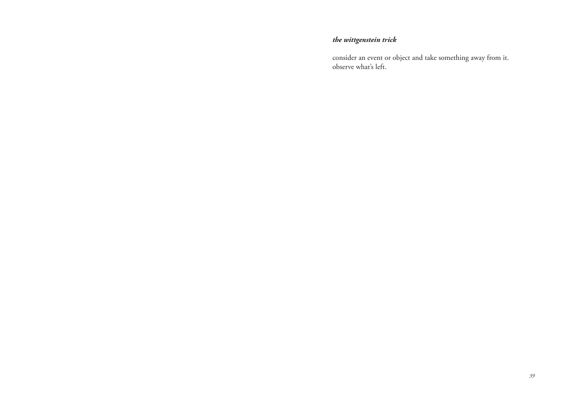# *the wittgenstein trick*

consider an event or object and take something away from it. observe what's left.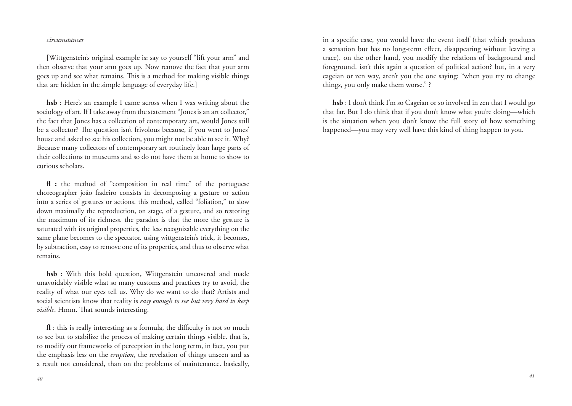[Wittgenstein's original example is: say to yourself "lift your arm" and then observe that your arm goes up. Now remove the fact that your arm goes up and see what remains. This is a method for making visible things that are hidden in the simple language of everyday life.]

**hsb** : Here's an example I came across when I was writing about the sociology of art. If I take away from the statement "Jones is an art collector," the fact that Jones has a collection of contemporary art, would Jones still be a collector? The question isn't frivolous because, if you went to Jones' house and asked to see his collection, you might not be able to see it. Why? Because many collectors of contemporary art routinely loan large parts of their collections to museums and so do not have them at home to show to curious scholars.

**fl :** the method of "composition in real time" of the portuguese choreographer joão fiadeiro consists in decomposing a gesture or action into a series of gestures or actions. this method, called "foliation," to slow down maximally the reproduction, on stage, of a gesture, and so restoring the maximum of its richness. the paradox is that the more the gesture is saturated with its original properties, the less recognizable everything on the same plane becomes to the spectator. using wittgenstein's trick, it becomes, by subtraction, easy to remove one of its properties, and thus to observe what remains.

**hsb** : With this bold question, Wittgenstein uncovered and made unavoidably visible what so many customs and practices try to avoid, the reality of what our eyes tell us. Why do we want to do that? Artists and social scientists know that reality is *easy enough to see but very hard to keep visible*. Hmm. That sounds interesting.

**fl** : this is really interesting as a formula, the difficulty is not so much to see but to stabilize the process of making certain things visible. that is, to modify our frameworks of perception in the long term, in fact, you put the emphasis less on the *eruption*, the revelation of things unseen and as a result not considered, than on the problems of maintenance. basically, in a specific case, you would have the event itself (that which produces a sensation but has no long-term effect, disappearing without leaving a trace). on the other hand, you modify the relations of background and foreground. isn't this again a question of political action? but, in a very cageian or zen way, aren't you the one saying: "when you try to change things, you only make them worse." ?

**hsb** : I don't think I'm so Cageian or so involved in zen that I would go that far. But I do think that if you don't know what you're doing—which is the situation when you don't know the full story of how something happened—you may very well have this kind of thing happen to you.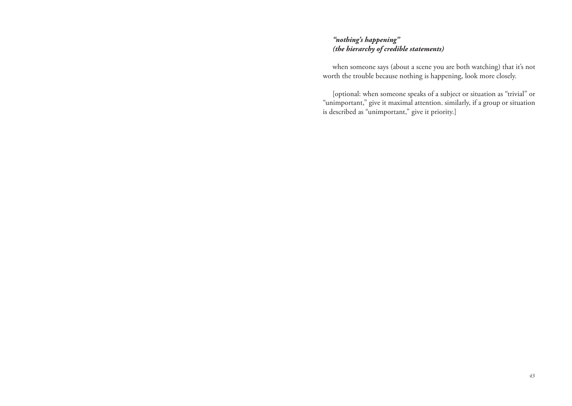# *"nothing's happening" (the hierarchy of credible statements)*

when someone says (about a scene you are both watching) that it's not worth the trouble because nothing is happening, look more closely.

[optional: when someone speaks of a subject or situation as "trivial" or "unimportant," give it maximal attention. similarly, if a group or situation is described as "unimportant," give it priority.]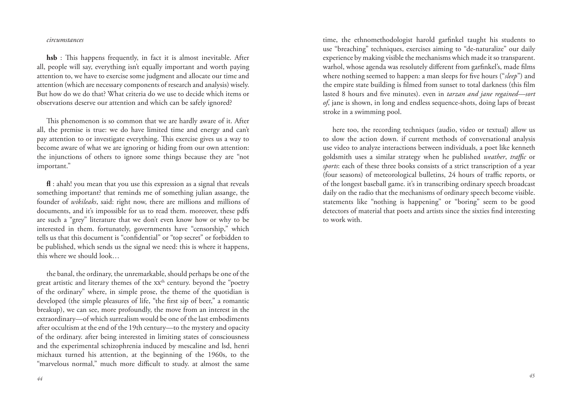**hsb** : This happens frequently, in fact it is almost inevitable. After all, people will say, everything isn't equally important and worth paying attention to, we have to exercise some judgment and allocate our time and attention (which are necessary components of research and analysis) wisely. But how do we do that? What criteria do we use to decide which items or observations deserve our attention and which can be safely ignored?

This phenomenon is so common that we are hardly aware of it. After all, the premise is true: we do have limited time and energy and can't pay attention to or investigate everything. This exercise gives us a way to become aware of what we are ignoring or hiding from our own attention: the injunctions of others to ignore some things because they are "not important."

**fl** : ahah! you mean that you use this expression as a signal that reveals something important? that reminds me of something julian assange, the founder of *wikileaks*, said: right now, there are millions and millions of documents, and it's impossible for us to read them. moreover, these pdfs are such a "grey" literature that we don't even know how or why to be interested in them. fortunately, governments have "censorship," which tells us that this document is "confidential" or "top secret" or forbidden to be published, which sends us the signal we need: this is where it happens, this where we should look…

the banal, the ordinary, the unremarkable, should perhaps be one of the great artistic and literary themes of the xx<sup>th</sup> century. beyond the "poetry of the ordinary" where, in simple prose, the theme of the quotidian is developed (the simple pleasures of life, "the first sip of beer," a romantic breakup), we can see, more profoundly, the move from an interest in the extraordinary—of which surrealism would be one of the last embodiments after occultism at the end of the 19th century—to the mystery and opacity of the ordinary. after being interested in limiting states of consciousness and the experimental schizophrenia induced by mescaline and lsd, henri michaux turned his attention, at the beginning of the 1960s, to the "marvelous normal," much more difficult to study. at almost the same time, the ethnomethodologist harold garfinkel taught his students to use "breaching" techniques, exercises aiming to "de-naturalize" our daily experience by making visible the mechanisms which made it so transparent. warhol, whose agenda was resolutely different from garfinkel's, made films where nothing seemed to happen: a man sleeps for five hours ("*sleep*") and the empire state building is filmed from sunset to total darkness (this film lasted 8 hours and five minutes). even in *tarzan and jane regained—sort of*, jane is shown, in long and endless sequence-shots, doing laps of breast stroke in a swimming pool.

here too, the recording techniques (audio, video or textual) allow us to slow the action down. if current methods of conversational analysis use video to analyze interactions between individuals, a poet like kenneth goldsmith uses a similar strategy when he published *weather*, *traffic* or *sports*: each of these three books consists of a strict transcription of a year (four seasons) of meteorological bulletins, 24 hours of traffic reports, or of the longest baseball game. it's in transcribing ordinary speech broadcast daily on the radio that the mechanisms of ordinary speech become visible. statements like "nothing is happening" or "boring" seem to be good detectors of material that poets and artists since the sixties find interesting to work with.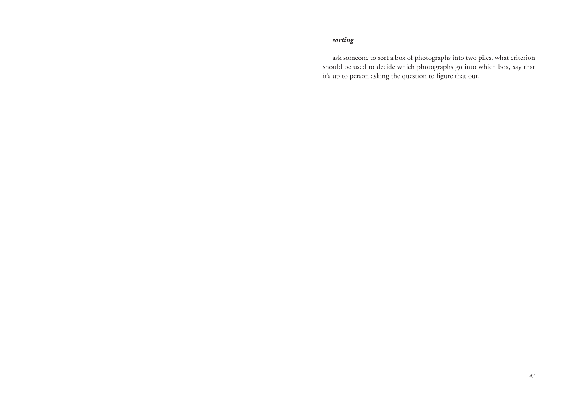## *sorting*

ask someone to sort a box of photographs into two piles. what criterion should be used to decide which photographs go into which box, say that it's up to person asking the question to figure that out.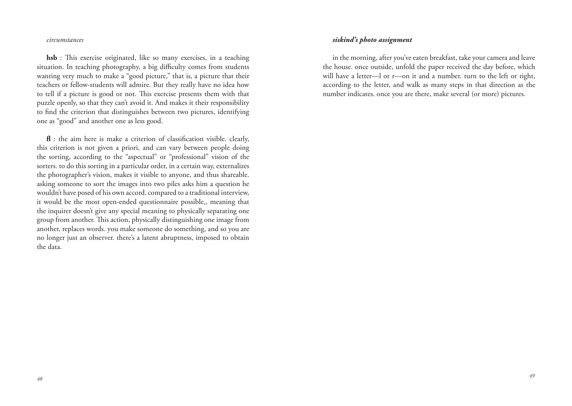**hsb** : This exercise originated, like so many exercises, in a teaching situation. In teaching photography, a big difficulty comes from students wanting very much to make a "good picture," that is, a picture that their teachers or fellow-students will admire. But they really have no idea how to tell if a picture is good or not. This exercise presents them with that puzzle openly, so that they can't avoid it. And makes it their responsibility to find the criterion that distinguishes between two pictures, identifying one as "good" and another one as less good.

**fl** : the aim here is make a criterion of classification visible. clearly, this criterion is not given a priori, and can vary between people doing the sorting, according to the "aspectual" or "professional" vision of the sorters. to do this sorting in a particular order, in a certain way, externalizes the photographer's vision, makes it visible to anyone, and thus shareable. asking someone to sort the images into two piles asks him a question he wouldn't have posed of his own accord. compared to a traditional interview, it would be the most open-ended questionnaire possible,, meaning that the inquirer doesn't give any special meaning to physically separating one group from another. This action, physically distinguishing one image from another, replaces words. you make someone do something, and so you are no longer just an observer. there's a latent abruptness, imposed to obtain the data.

## *siskind's photo assignment*

in the morning, after you've eaten breakfast, take your camera and leave the house. once outside, unfold the paper received the day before, which will have a letter-l or r-on it and a number. turn to the left or right, according to the letter, and walk as many steps in that direction as the number indicates. once you are there, make several (or more) pictures.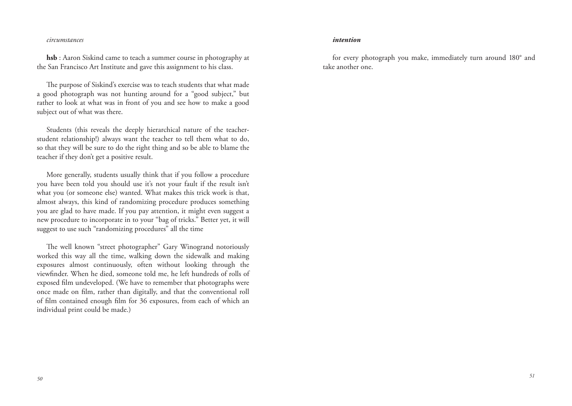**hsb** : Aaron Siskind came to teach a summer course in photography at the San Francisco Art Institute and gave this assignment to his class.

The purpose of Siskind's exercise was to teach students that what made a good photograph was not hunting around for a "good subject," but rather to look at what was in front of you and see how to make a good subject out of what was there.

Students (this reveals the deeply hierarchical nature of the teacherstudent relationship!) always want the teacher to tell them what to do, so that they will be sure to do the right thing and so be able to blame the teacher if they don't get a positive result.

More generally, students usually think that if you follow a procedure you have been told you should use it's not your fault if the result isn't what you (or someone else) wanted. What makes this trick work is that, almost always, this kind of randomizing procedure produces something you are glad to have made. If you pay attention, it might even suggest a new procedure to incorporate in to your "bag of tricks." Better yet, it will suggest to use such "randomizing procedures" all the time

The well known "street photographer" Gary Winogrand notoriously worked this way all the time, walking down the sidewalk and making exposures almost continuously, often without looking through the viewfinder. When he died, someone told me, he left hundreds of rolls of exposed film undeveloped. (We have to remember that photographs were once made on film, rather than digitally, and that the conventional roll of film contained enough film for 36 exposures, from each of which an individual print could be made.)

#### *intention*

for every photograph you make, immediately turn around 180° and take another one.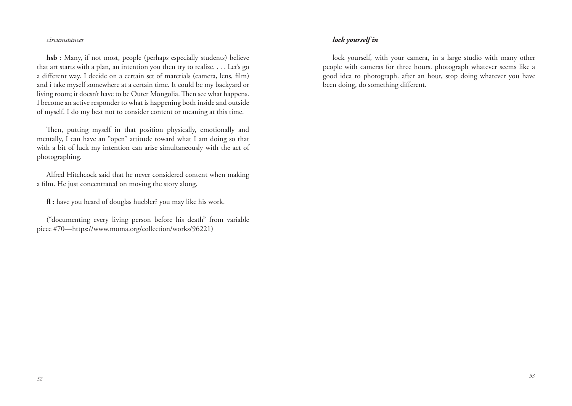**hsb** : Many, if not most, people (perhaps especially students) believe that art starts with a plan, an intention you then try to realize. . . . Let's go a different way. I decide on a certain set of materials (camera, lens, film) and i take myself somewhere at a certain time. It could be my backyard or living room; it doesn't have to be Outer Mongolia. Then see what happens. I become an active responder to what is happening both inside and outside of myself. I do my best not to consider content or meaning at this time.

Then, putting myself in that position physically, emotionally and mentally, I can have an "open" attitude toward what I am doing so that with a bit of luck my intention can arise simultaneously with the act of photographing.

Alfred Hitchcock said that he never considered content when making a film. He just concentrated on moving the story along.

**fl :** have you heard of douglas huebler? you may like his work.

("documenting every living person before his death" from variable piece #70—https://www.moma.org/collection/works/96221)

## *lock yourself in*

lock yourself, with your camera, in a large studio with many other people with cameras for three hours. photograph whatever seems like a good idea to photograph. after an hour, stop doing whatever you have been doing, do something different.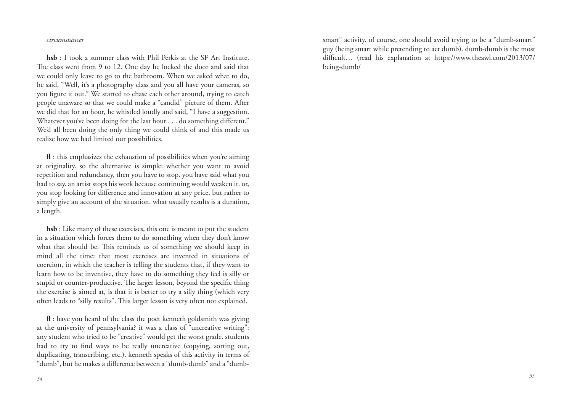**hsb** : I took a summer class with Phil Perkis at the SF Art Institute. The class went from 9 to 12. One day he locked the door and said that we could only leave to go to the bathroom. When we asked what to do, he said, "Well, it's a photography class and you all have your cameras, so you figure it out." We started to chase each other around, trying to catch people unaware so that we could make a "candid" picture of them. After we did that for an hour, he whistled loudly and said, "I have a suggestion. Whatever you've been doing for the last hour . . . do something different." We'd all been doing the only thing we could think of and this made us realize how we had limited our possibilities.

**fl** : this emphasizes the exhaustion of possibilities when you're aiming at originality. so the alternative is simple: whether you want to avoid repetition and redundancy, then you have to stop. you have said what you had to say. an artist stops his work because continuing would weaken it. or, you stop looking for difference and innovation at any price, but rather to simply give an account of the situation. what usually results is a duration, a length.

**hsb** : Like many of these exercises, this one is meant to put the student in a situation which forces them to do something when they don't know what that should be. This reminds us of something we should keep in mind all the time: that most exercises are invented in situations of coercion, in which the teacher is telling the students that, if they want to learn how to be inventive, they have to do something they feel is silly or stupid or counter-productive. The larger lesson, beyond the specific thing the exercise is aimed at, is that it is better to try a silly thing (which very often leads to "silly results". This larger lesson is very often not explained.

**fl** : have you heard of the class the poet kenneth goldsmith was giving at the university of pennsylvania? it was a class of "uncreative writing": any student who tried to be "creative" would get the worst grade. students had to try to find ways to be really uncreative (copying, sorting out, duplicating, transcribing, etc.). kenneth speaks of this activity in terms of "dumb", but he makes a difference between a "dumb-dumb" and a "dumbsmart" activity. of course, one should avoid trying to be a "dumb-smart" guy (being smart while pretending to act dumb). dumb-dumb is the most difficult… (read his explanation at https://www.theawl.com/2013/07/ being-dumb/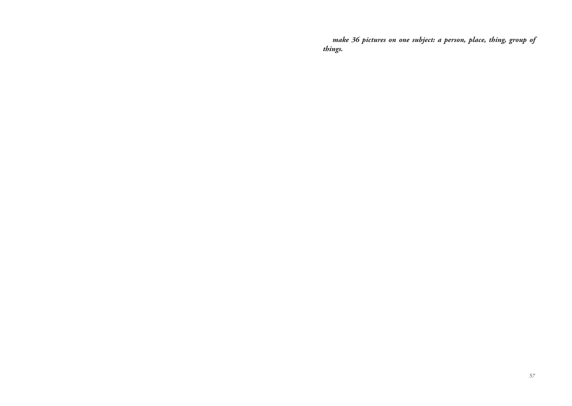*make 36 pictures on one subject: a person, place, thing, group of things.*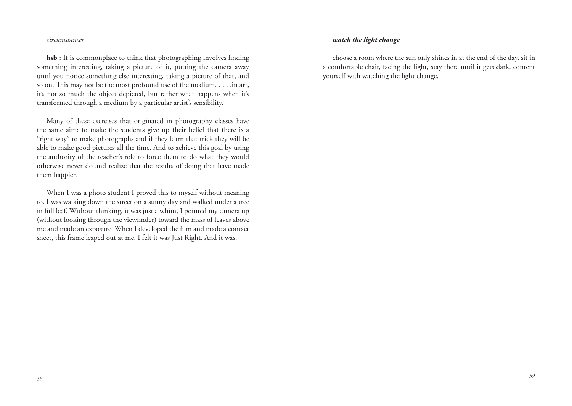**hsb** : It is commonplace to think that photographing involves finding something interesting, taking a picture of it, putting the camera away until you notice something else interesting, taking a picture of that, and so on. This may not be the most profound use of the medium. . . . .in art, it's not so much the object depicted, but rather what happens when it's transformed through a medium by a particular artist's sensibility.

Many of these exercises that originated in photography classes have the same aim: to make the students give up their belief that there is a "right way" to make photographs and if they learn that trick they will be able to make good pictures all the time. And to achieve this goal by using the authority of the teacher's role to force them to do what they would otherwise never do and realize that the results of doing that have made them happier.

When I was a photo student I proved this to myself without meaning to. I was walking down the street on a sunny day and walked under a tree in full leaf. Without thinking, it was just a whim, I pointed my camera up (without looking through the viewfinder) toward the mass of leaves above me and made an exposure. When I developed the film and made a contact sheet, this frame leaped out at me. I felt it was Just Right. And it was.

## *watch the light change*

choose a room where the sun only shines in at the end of the day. sit in a comfortable chair, facing the light, stay there until it gets dark. content yourself with watching the light change.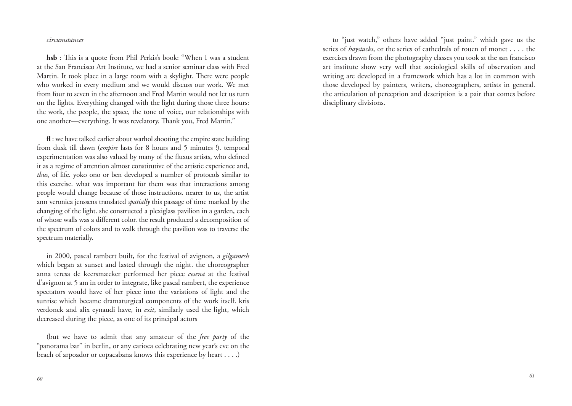**hsb** : This is a quote from Phil Perkis's book: "When I was a student at the San Francisco Art Institute, we had a senior seminar class with Fred Martin. It took place in a large room with a skylight. There were people who worked in every medium and we would discuss our work. We met from four to seven in the afternoon and Fred Martin would not let us turn on the lights. Everything changed with the light during those three hours: the work, the people, the space, the tone of voice, our relationships with one another—everything. It was revelatory. Thank you, Fred Martin."

**fl** : we have talked earlier about warhol shooting the empire state building from dusk till dawn (*empire* lasts for 8 hours and 5 minutes !). temporal experimentation was also valued by many of the fluxus artists, who defined it as a regime of attention almost constitutive of the artistic experience and, *thus*, of life. yoko ono or ben developed a number of protocols similar to this exercise. what was important for them was that interactions among people would change because of those instructions. nearer to us, the artist ann veronica jenssens translated *spatially* this passage of time marked by the changing of the light. she constructed a plexiglass pavilion in a garden, each of whose walls was a different color. the result produced a decomposition of the spectrum of colors and to walk through the pavilion was to traverse the spectrum materially.

in 2000, pascal rambert built, for the festival of avignon, a *gilgamesh* which began at sunset and lasted through the night. the choreographer anna teresa de keersmæeker performed her piece *cesena* at the festival d'avignon at 5 am in order to integrate, like pascal rambert, the experience spectators would have of her piece into the variations of light and the sunrise which became dramaturgical components of the work itself. kris verdonck and alix eynaudi have, in *exit*, similarly used the light, which decreased during the piece, as one of its principal actors

(but we have to admit that any amateur of the *free party* of the "panorama bar" in berlin, or any carioca celebrating new year's eve on the beach of arpoador or copacabana knows this experience by heart . . . .)

to "just watch," others have added "just paint." which gave us the series of *haystacks*, or the series of cathedrals of rouen of monet . . . . the exercises drawn from the photography classes you took at the san francisco art institute show very well that sociological skills of observation and writing are developed in a framework which has a lot in common with those developed by painters, writers, choreographers, artists in general. the articulation of perception and description is a pair that comes before disciplinary divisions.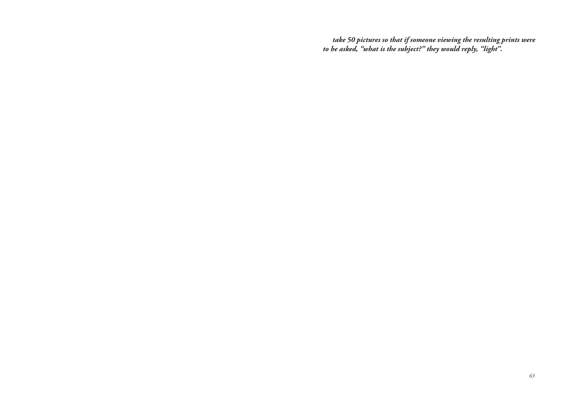*take 50 pictures so that if someone viewing the resulting prints were to be asked, "what is the subject?" they would reply, "light".*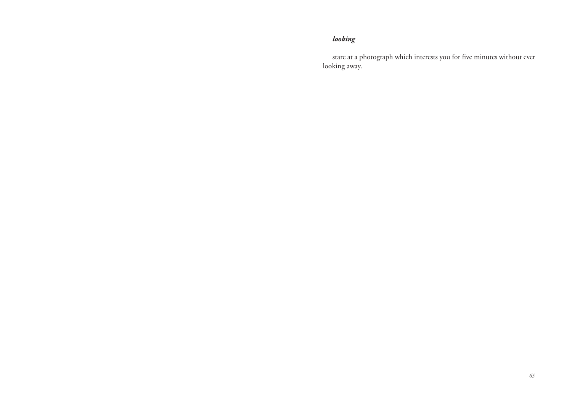# *looking*

stare at a photograph which interests you for five minutes without ever looking away.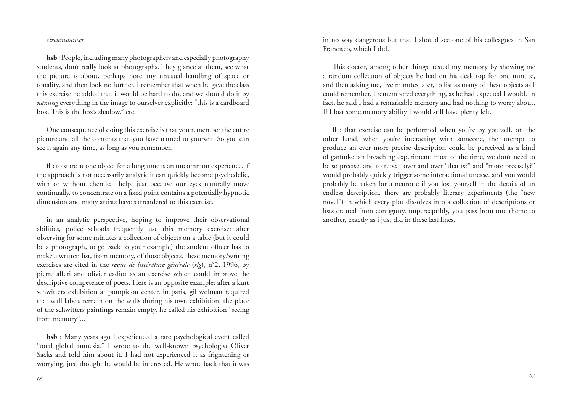**hsb** : People, including many photographers and especially photography students, don't really look at photographs. They glance at them, see what the picture is about, perhaps note any unusual handling of space or tonality, and then look no further. I remember that when he gave the class this exercise he added that it would be hard to do, and we should do it by *naming* everything in the image to ourselves explicitly: "this is a cardboard box. This is the box's shadow." etc.

One consequence of doing this exercise is that you remember the entire picture and all the contents that you have named to yourself. So you can see it again any time, as long as you remember.

**fl**: to stare at one object for a long time is an uncommon experience. if the approach is not necessarily analytic it can quickly become psychedelic, with or without chemical help. just because our eyes naturally move continually. to concentrate on a fixed point contains a potentially hypnotic dimension and many artists have surrendered to this exercise.

in an analytic perspective, hoping to improve their observational abilities, police schools frequently use this memory exercise: after observing for some minutes a collection of objects on a table (but it could be a photograph, to go back to your example) the student officer has to make a written list, from memory, of those objects. these memory/writing exercises are cited in the *revue de littérature générale* (*rlg*), n°2, 1996, by pierre alferi and olivier cadiot as an exercise which could improve the descriptive competence of poets. Here is an opposite example: after a kurt schwitters exhibition at pompidou center, in paris, gil wolman required that wall labels remain on the walls during his own exhibition. the place of the schwitters paintings remain empty. he called his exhibition "seeing from memory"...

**hsb** : Many years ago I experienced a rare psychological event called "total global amnesia." I wrote to the well-known psychologist Oliver Sacks and told him about it. I had not experienced it as frightening or worrying, just thought he would be interested. He wrote back that it was

*<sup>66</sup> <sup>67</sup>*

in no way dangerous but that I should see one of his colleagues in San Francisco, which I did.

This doctor, among other things, tested my memory by showing me a random collection of objects he had on his desk top for one minute, and then asking me, five minutes later, to list as many of these objects as I could remember. I remembered everything, as he had expected I would. In fact, he said I had a remarkable memory and had nothing to worry about. If I lost some memory ability I would still have plenty left.

**fl** : that exercise can be performed when you're by yourself. on the other hand, when you're interacting with someone, the attempt to produce an ever more precise description could be perceived as a kind of garfinkelian breaching experiment: most of the time, we don't need to be so precise, and to repeat over and over "that is?" and "more precisely?" would probably quickly trigger some interactional unease. and you would probably be taken for a neurotic if you lost yourself in the details of an endless description. there are probably literary experiments (the "new novel") in which every plot dissolves into a collection of descriptions or lists created from contiguity. imperceptibly, you pass from one theme to another, exactly as i just did in these last lines.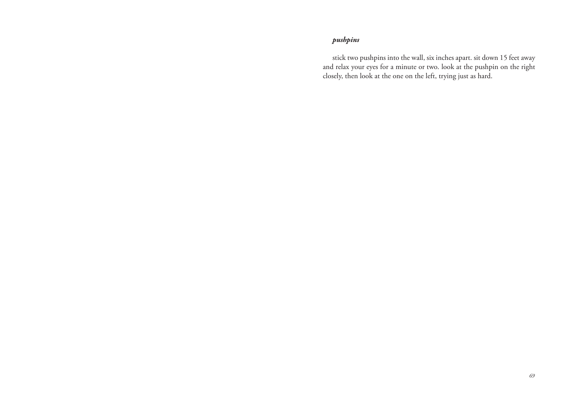# *pushpins*

stick two pushpins into the wall, six inches apart. sit down 15 feet away and relax your eyes for a minute or two. look at the pushpin on the right closely, then look at the one on the left, trying just as hard.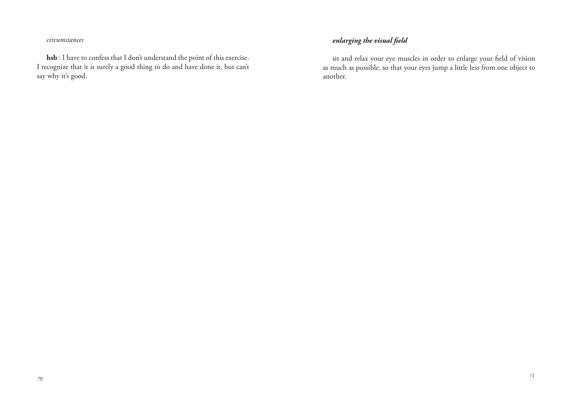**hsb** : I have to confess that I don't understand the point of this exercise. I recognize that it is surely a good thing to do and have done it, but can't say why it's good.

# *enlarging the visual field*

sit and relax your eye muscles in order to enlarge your field of vision as much as possible. so that your eyes jump a little less from one object to another.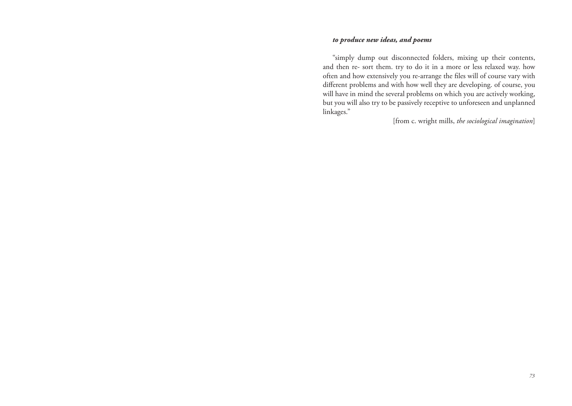# *to produce new ideas, and poems*

"simply dump out disconnected folders, mixing up their contents, and then re- sort them. try to do it in a more or less relaxed way. how often and how extensively you re-arrange the files will of course vary with different problems and with how well they are developing. of course, you will have in mind the several problems on which you are actively working, but you will also try to be passively receptive to unforeseen and unplanned linkages."

[from c. wright mills, *the sociological imagination*]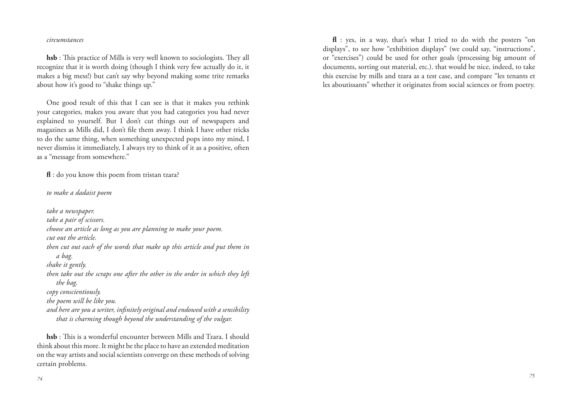**hsb** : This practice of Mills is very well known to sociologists. They all recognize that it is worth doing (though I think very few actually do it, it makes a big mess!) but can't say why beyond making some trite remarks about how it's good to "shake things up."

One good result of this that I can see is that it makes you rethink your categories, makes you aware that you had categories you had never explained to yourself. But I don't cut things out of newspapers and magazines as Mills did, I don't file them away. I think I have other tricks to do the same thing, when something unexpected pops into my mind, I never dismiss it immediately, I always try to think of it as a positive, often as a "message from somewhere."

**fl** : do you know this poem from tristan tzara?

*to make a dadaist poem*

*take a newspaper. take a pair of scissors. choose an article as long as you are planning to make your poem. cut out the article. then cut out each of the words that make up this article and put them in a bag. shake it gently. then take out the scraps one after the other in the order in which they left the bag. copy conscientiously. the poem will be like you. and here are you a writer, infinitely original and endowed with a sensibility that is charming though beyond the understanding of the vulgar.*

**hsb** : This is a wonderful encounter between Mills and Tzara. I should think about this more. It might be the place to have an extended meditation on the way artists and social scientists converge on these methods of solving certain problems.

**fl** : yes, in a way, that's what I tried to do with the posters "on displays", to see how "exhibition displays" (we could say, "instructions", or "exercises") could be used for other goals (processing big amount of documents, sorting out material, etc.). that would be nice, indeed, to take this exercise by mills and tzara as a test case, and compare "les tenants et les aboutissants" whether it originates from social sciences or from poetry.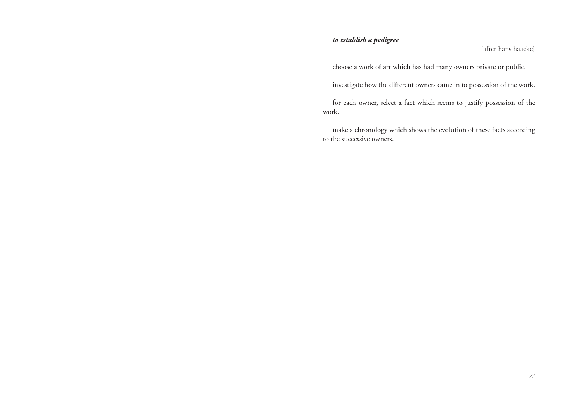# *to establish a pedigree*

[after hans haacke]

choose a work of art which has had many owners private or public.

investigate how the different owners came in to possession of the work.

for each owner, select a fact which seems to justify possession of the work.

make a chronology which shows the evolution of these facts according to the successive owners.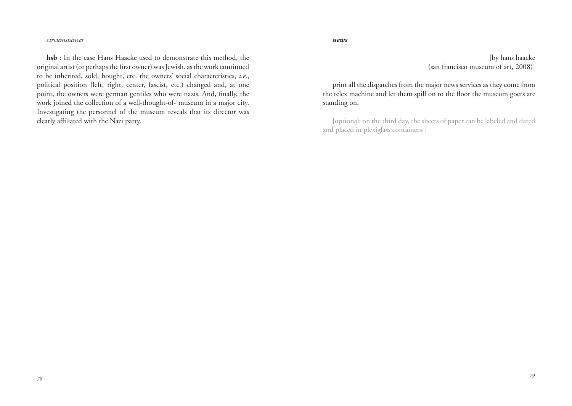**hsb** : In the case Hans Haacke used to demonstrate this method, the original artist (or perhaps the first owner) was Jewish. as the work continued to be inherited, sold, bought, etc. the owners' social characteristics, *i.e*., political position (left, right, center, fascist, etc.) changed and, at one point, the owners were german gentiles who were nazis. And, finally, the work joined the collection of a well-thought-of- museum in a major city. Investigating the personnel of the museum reveals that its director was clearly affiliated with the Nazi party.

#### *news*

[by hans haacke (san francisco museum of art, 2008)]

print all the dispatches from the major news services as they come from the telex machine and let them spill on to the floor the museum goers are standing on.

[optional: on the third day, the sheets of paper can be labeled and dated and placed in plexiglass containers.]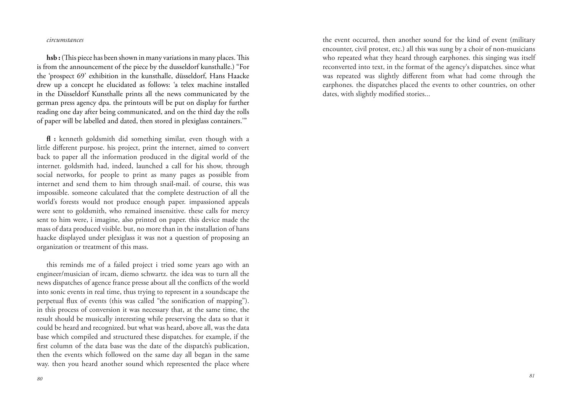**hsb :** (This piece has been shown in many variations in many places. This is from the announcement of the piece by the dusseldorf kunsthalle.) "For the 'prospect 69' exhibition in the kunsthalle, düsseldorf, Hans Haacke drew up a concept he elucidated as follows: 'a telex machine installed in the Düsseldorf Kunsthalle prints all the news communicated by the german press agency dpa. the printouts will be put on display for further reading one day after being communicated, and on the third day the rolls of paper will be labelled and dated, then stored in plexiglass containers.'"

**fl :** kenneth goldsmith did something similar, even though with a little different purpose. his project, print the internet, aimed to convert back to paper all the information produced in the digital world of the internet. goldsmith had, indeed, launched a call for his show, through social networks, for people to print as many pages as possible from internet and send them to him through snail-mail. of course, this was impossible. someone calculated that the complete destruction of all the world's forests would not produce enough paper. impassioned appeals were sent to goldsmith, who remained insensitive. these calls for mercy sent to him were, i imagine, also printed on paper. this device made the mass of data produced visible. but, no more than in the installation of hans haacke displayed under plexiglass it was not a question of proposing an organization or treatment of this mass.

this reminds me of a failed project i tried some years ago with an engineer/musician of ircam, diemo schwartz. the idea was to turn all the news dispatches of agence france presse about all the conflicts of the world into sonic events in real time, thus trying to represent in a soundscape the perpetual flux of events (this was called "the sonification of mapping"). in this process of conversion it was necessary that, at the same time, the result should be musically interesting while preserving the data so that it could be heard and recognized. but what was heard, above all, was the data base which compiled and structured these dispatches. for example, if the first column of the data base was the date of the dispatch's publication, then the events which followed on the same day all began in the same way. then you heard another sound which represented the place where the event occurred, then another sound for the kind of event (military encounter, civil protest, etc.) all this was sung by a choir of non-musicians who repeated what they heard through earphones. this singing was itself reconverted into text, in the format of the agency's dispatches. since what was repeated was slightly different from what had come through the earphones. the dispatches placed the events to other countries, on other dates, with slightly modified stories...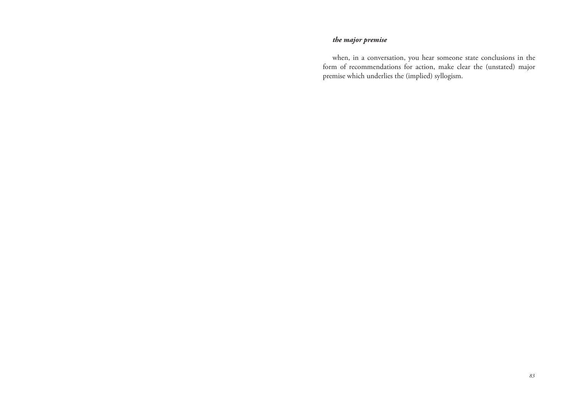# *the major premise*

when, in a conversation, you hear someone state conclusions in the form of recommendations for action, make clear the (unstated) major premise which underlies the (implied) syllogism.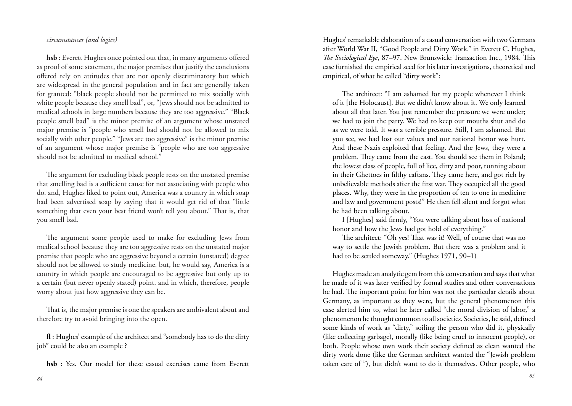# *circumstances (and logics)*

**hsb** : Everett Hughes once pointed out that, in many arguments offered as proof of some statement, the major premises that justify the conclusions offered rely on attitudes that are not openly discriminatory but which are widespread in the general population and in fact are generally taken for granted: "black people should not be permitted to mix socially with white people because they smell bad", or, "Jews should not be admitted to medical schools in large numbers because they are too aggressive." "Black people smell bad" is the minor premise of an argument whose unstated major premise is "people who smell bad should not be allowed to mix socially with other people." "Jews are too aggressive" is the minor premise of an argument whose major premise is "people who are too aggressive should not be admitted to medical school."

The argument for excluding black people rests on the unstated premise that smelling bad is a sufficient cause for not associating with people who do. and, Hughes liked to point out, America was a country in which soap had been advertised soap by saying that it would get rid of that "little something that even your best friend won't tell you about." That is, that you smell bad.

The argument some people used to make for excluding Jews from medical school because they are too aggressive rests on the unstated major premise that people who are aggressive beyond a certain (unstated) degree should not be allowed to study medicine. but, he would say, America is a country in which people are encouraged to be aggressive but only up to a certain (but never openly stated) point. and in which, therefore, people worry about just how aggressive they can be.

That is, the major premise is one the speakers are ambivalent about and therefore try to avoid bringing into the open.

**fl** : Hughes' example of the architect and "somebody has to do the dirty job" could be also an example ?

**hsb** : Yes. Our model for these casual exercises came from Everett

Hughes' remarkable elaboration of a casual conversation with two Germans after World War II, "Good People and Dirty Work." in Everett C. Hughes, *The Sociological Eye*, 87–97. New Brunswick: Transaction Inc., 1984. This case furnished the empirical seed for his later investigations, theoretical and empirical, of what he called "dirty work":

The architect: "I am ashamed for my people whenever I think of it [the Holocaust]. But we didn't know about it. We only learned about all that later. You just remember the pressure we were under; we had to join the party. We had to keep our mouths shut and do as we were told. It was a terrible pressure. Still, I am ashamed. But you see, we had lost our values and our national honor was hurt. And these Nazis exploited that feeling. And the Jews, they were a problem. They came from the east. You should see them in Poland; the lowest class of people, full of lice, dirty and poor, running about in their Ghettoes in filthy caftans. They came here, and got rich by unbelievable methods after the first war. They occupied all the good places. Why, they were in the proportion of ten to one in medicine and law and government posts!" He then fell silent and forgot what he had been talking about.

I [Hughes] said firmly, "You were talking about loss of national honor and how the Jews had got hold of everything."

The architect: "Oh yes! That was it! Well, of course that was no way to settle the Jewish problem. But there was a problem and it had to be settled someway." (Hughes 1971, 90–1)

Hughes made an analytic gem from this conversation and says that what he made of it was later verified by formal studies and other conversations he had. The important point for him was not the particular details about Germany, as important as they were, but the general phenomenon this case alerted him to, what he later called "the moral division of labor," a phenomenon he thought common to all societies. Societies, he said, defined some kinds of work as "dirty," soiling the person who did it, physically (like collecting garbage), morally (like being cruel to innocent people), or both. People whose own work their society defined as clean wanted the dirty work done (like the German architect wanted the "Jewish problem taken care of "), but didn't want to do it themselves. Other people, who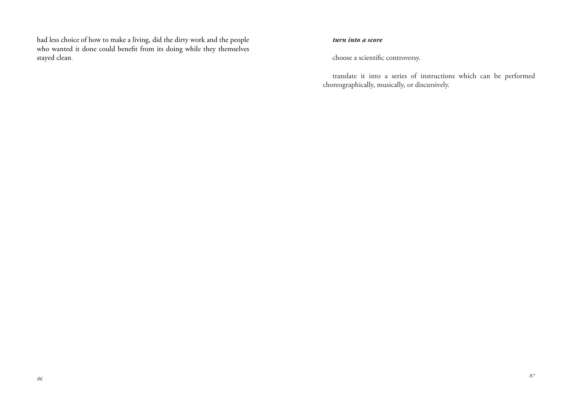had less choice of how to make a living, did the dirty work and the people who wanted it done could benefit from its doing while they themselves stayed clean.

## *turn into a score*

choose a scientific controversy.

translate it into a series of instructions which can be performed choreographically, musically, or discursively.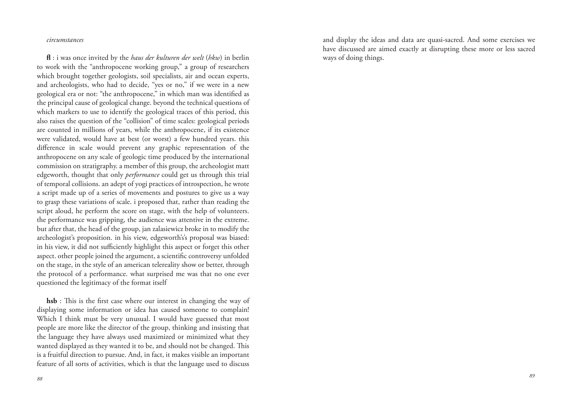**fl** : i was once invited by the *haus der kulturen der welt* (*hkw*) in berlin to work with the "anthropocene working group," a group of researchers which brought together geologists, soil specialists, air and ocean experts, and archeologists, who had to decide, "yes or no," if we were in a new geological era or not: "the anthropocene," in which man was identified as the principal cause of geological change. beyond the technical questions of which markers to use to identify the geological traces of this period, this also raises the question of the "collision" of time scales: geological periods are counted in millions of years, while the anthropocene, if its existence were validated, would have at best (or worst) a few hundred years. this difference in scale would prevent any graphic representation of the anthropocene on any scale of geologic time produced by the international commission on stratigraphy. a member of this group, the archeologist matt edgeworth, thought that only *performance* could get us through this trial of temporal collisions. an adept of yogi practices of introspection, he wrote a script made up of a series of movements and postures to give us a way to grasp these variations of scale. i proposed that, rather than reading the script aloud, he perform the score on stage, with the help of volunteers. the performance was gripping, the audience was attentive in the extreme. but after that, the head of the group, jan zalasiewicz broke in to modify the archeologist's proposition. in his view, edgeworth's's proposal was biased: in his view, it did not sufficiently highlight this aspect or forget this other aspect. other people joined the argument, a scientific controversy unfolded on the stage, in the style of an american telereality show or better, through the protocol of a performance. what surprised me was that no one ever questioned the legitimacy of the format itself

**hsb** : This is the first case where our interest in changing the way of displaying some information or idea has caused someone to complain! Which I think must be very unusual. I would have guessed that most people are more like the director of the group, thinking and insisting that the language they have always used maximized or minimized what they wanted displayed as they wanted it to be, and should not be changed. This is a fruitful direction to pursue. And, in fact, it makes visible an important feature of all sorts of activities, which is that the language used to discuss and display the ideas and data are quasi-sacred. And some exercises we have discussed are aimed exactly at disrupting these more or less sacred ways of doing things.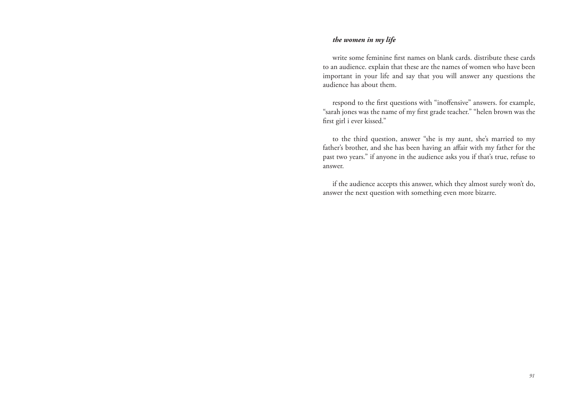## *the women in my life*

write some feminine first names on blank cards. distribute these cards to an audience. explain that these are the names of women who have been important in your life and say that you will answer any questions the audience has about them.

respond to the first questions with "inoffensive" answers. for example, "sarah jones was the name of my first grade teacher." "helen brown was the first girl i ever kissed."

to the third question, answer "she is my aunt, she's married to my father's brother, and she has been having an affair with my father for the past two years." if anyone in the audience asks you if that's true, refuse to answer.

if the audience accepts this answer, which they almost surely won't do, answer the next question with something even more bizarre.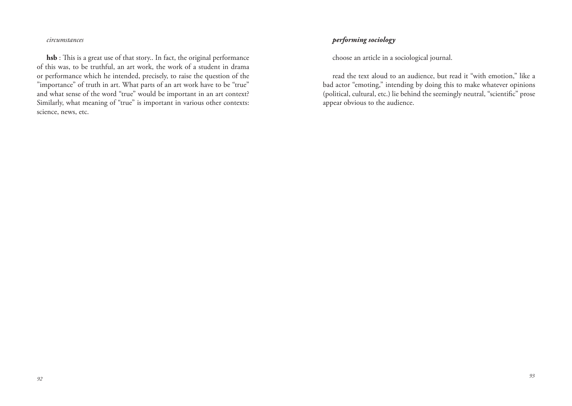**hsb** : This is a great use of that story.. In fact, the original performance of this was, to be truthful, an art work, the work of a student in drama or performance which he intended, precisely, to raise the question of the "importance" of truth in art. What parts of an art work have to be "true" and what sense of the word "true" would be important in an art context? Similarly, what meaning of "true" is important in various other contexts: science, news, etc.

# *performing sociology*

choose an article in a sociological journal.

read the text aloud to an audience, but read it "with emotion," like a bad actor "emoting," intending by doing this to make whatever opinions (political, cultural, etc.) lie behind the seemingly neutral, "scientific" prose appear obvious to the audience.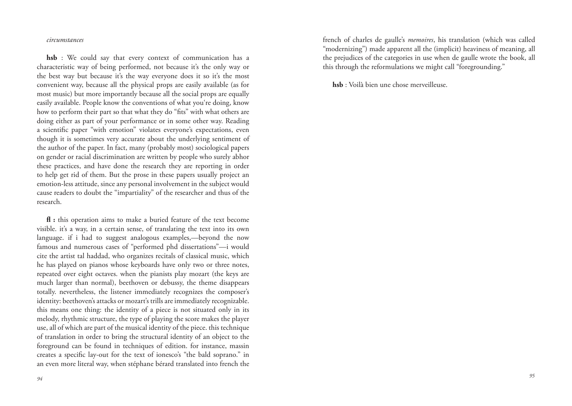**hsb** : We could say that every context of communication has a characteristic way of being performed, not because it's the only way or the best way but because it's the way everyone does it so it's the most convenient way, because all the physical props are easily available (as for most music) but more importantly because all the social props are equally easily available. People know the conventions of what you're doing, know how to perform their part so that what they do "fits" with what others are doing either as part of your performance or in some other way. Reading a scientific paper "with emotion" violates everyone's expectations, even though it is sometimes very accurate about the underlying sentiment of the author of the paper. In fact, many (probably most) sociological papers on gender or racial discrimination are written by people who surely abhor these practices, and have done the research they are reporting in order to help get rid of them. But the prose in these papers usually project an emotion-less attitude, since any personal involvement in the subject would cause readers to doubt the "impartiality" of the researcher and thus of the research.

**fl :** this operation aims to make a buried feature of the text become visible. it's a way, in a certain sense, of translating the text into its own language. if i had to suggest analogous examples,—beyond the now famous and numerous cases of "performed phd dissertations"—i would cite the artist tal haddad, who organizes recitals of classical music, which he has played on pianos whose keyboards have only two or three notes, repeated over eight octaves. when the pianists play mozart (the keys are much larger than normal), beethoven or debussy, the theme disappears totally. nevertheless, the listener immediately recognizes the composer's identity: beethoven's attacks or mozart's trills are immediately recognizable. this means one thing: the identity of a piece is not situated only in its melody, rhythmic structure, the type of playing the score makes the player use, all of which are part of the musical identity of the piece. this technique of translation in order to bring the structural identity of an object to the foreground can be found in techniques of edition. for instance, massin creates a specific lay-out for the text of ionesco's "the bald soprano." in an even more literal way, when stéphane bérard translated into french the french of charles de gaulle's *memoires*, his translation (which was called "modernizing") made apparent all the (implicit) heaviness of meaning, all the prejudices of the categories in use when de gaulle wrote the book, all this through the reformulations we might call "foregrounding."

**hsb** : Voilà bien une chose merveilleuse.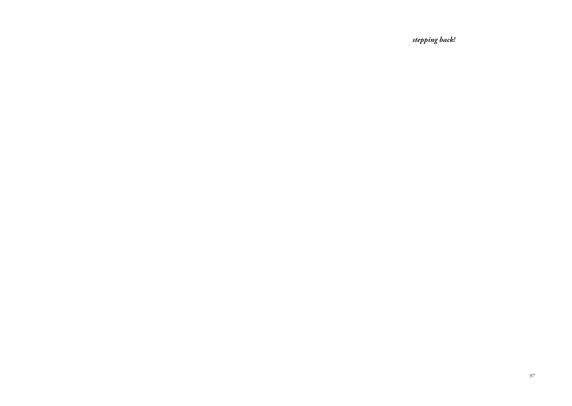*stepping back!*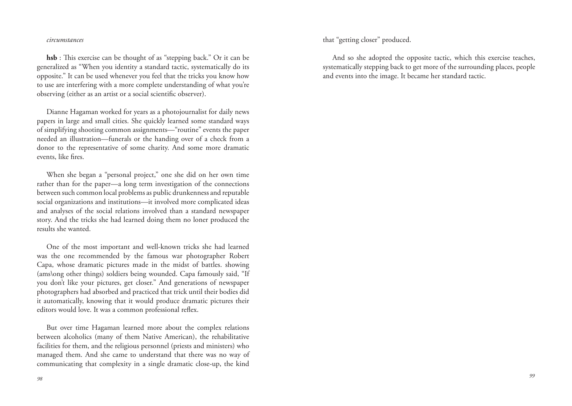**hsb** : This exercise can be thought of as "stepping back." Or it can be generalized as "When you identity a standard tactic, systematically do its opposite." It can be used whenever you feel that the tricks you know how to use are interfering with a more complete understanding of what you're observing (either as an artist or a social scientific observer).

Dianne Hagaman worked for years as a photojournalist for daily news papers in large and small cities. She quickly learned some standard ways of simplifying shooting common assignments—"routine" events the paper needed an illustration—funerals or the handing over of a check from a donor to the representative of some charity. And some more dramatic events, like fires.

When she began a "personal project," one she did on her own time rather than for the paper—a long term investigation of the connections between such common local problems as public drunkenness and reputable social organizations and institutions—it involved more complicated ideas and analyses of the social relations involved than a standard newspaper story. And the tricks she had learned doing them no loner produced the results she wanted.

One of the most important and well-known tricks she had learned was the one recommended by the famous war photographer Robert Capa, whose dramatic pictures made in the midst of battles. showing (ams\ong other things) soldiers being wounded. Capa famously said, "If you don't like your pictures, get closer." And generations of newspaper photographers had absorbed and practiced that trick until their bodies did it automatically, knowing that it would produce dramatic pictures their editors would love. It was a common professional reflex.

But over time Hagaman learned more about the complex relations between alcoholics (many of them Native American), the rehabilitative facilities for them, and the religious personnel (priests and ministers) who managed them. And she came to understand that there was no way of communicating that complexity in a single dramatic close-up, the kind that "getting closer" produced.

And so she adopted the opposite tactic, which this exercise teaches, systematically stepping back to get more of the surrounding places, people and events into the image. It became her standard tactic.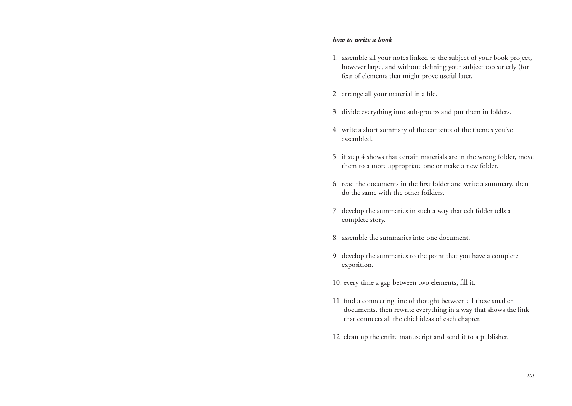## *how to write a book*

- 1. assemble all your notes linked to the subject of your book project, however large, and without defining your subject too strictly (for fear of elements that might prove useful later.
- 2. arrange all your material in a file.
- 3. divide everything into sub-groups and put them in folders.
- 4. write a short summary of the contents of the themes you've assembled.
- 5. if step 4 shows that certain materials are in the wrong folder, move them to a more appropriate one or make a new folder.
- 6. read the documents in the first folder and write a summary. then do the same with the other foilders.
- 7. develop the summaries in such a way that ech folder tells a complete story.
- 8. assemble the summaries into one document.
- 9. develop the summaries to the point that you have a complete exposition.
- 10. every time a gap between two elements, fill it.
- 11. find a connecting line of thought between all these smaller documents. then rewrite everything in a way that shows the link that connects all the chief ideas of each chapter.
- 12. clean up the entire manuscript and send it to a publisher.